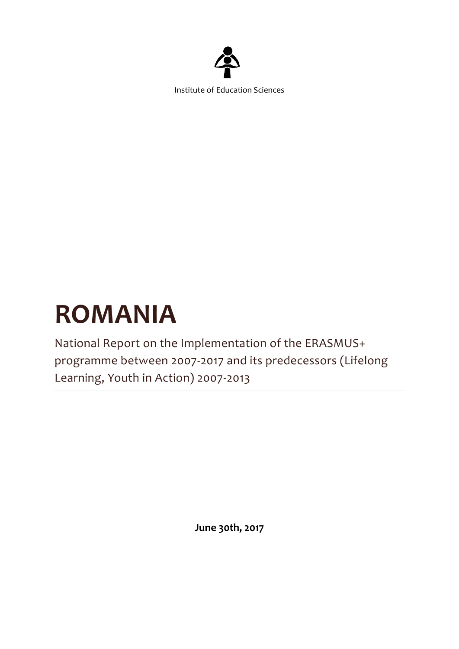

Institute of Education Sciences

# **ROMANIA**

National Report on the Implementation of the ERASMUS+ programme between 2007-2017 and its predecessors (Lifelong Learning, Youth in Action) 2007-2013

**June 30th, 2017**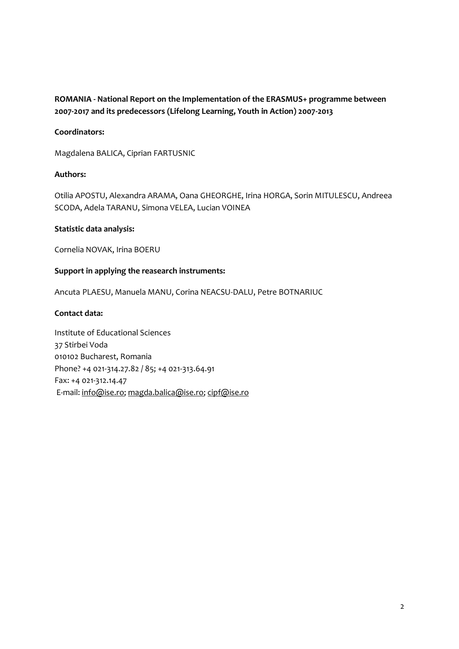## **ROMANIA - National Report on the Implementation of the ERASMUS+ programme between 2007-2017 and its predecessors (Lifelong Learning, Youth in Action) 2007-2013**

## **Coordinators:**

Magdalena BALICA, Ciprian FARTUSNIC

## **Authors:**

Otilia APOSTU, Alexandra ARAMA, Oana GHEORGHE, Irina HORGA, Sorin MITULESCU, Andreea SCODA, Adela TARANU, Simona VELEA, Lucian VOINEA

## **Statistic data analysis:**

Cornelia NOVAK, Irina BOERU

## **Support in applying the reasearch instruments:**

Ancuta PLAESU, Manuela MANU, Corina NEACSU-DALU, Petre BOTNARIUC

## **Contact data:**

Institute of Educational Sciences 37 Stirbei Voda 010102 Bucharest, Romania Phone? +4 021-314.27.82 / 85; +4 021-313.64.91 Fax: +4 021-312.14.47 E-mail: [info@ise.ro;](mailto:info@ise.ro) [magda.balica@ise.ro;](mailto:magda.balica@ise.ro) [cipf@ise.ro](mailto:cipf@ise.ro)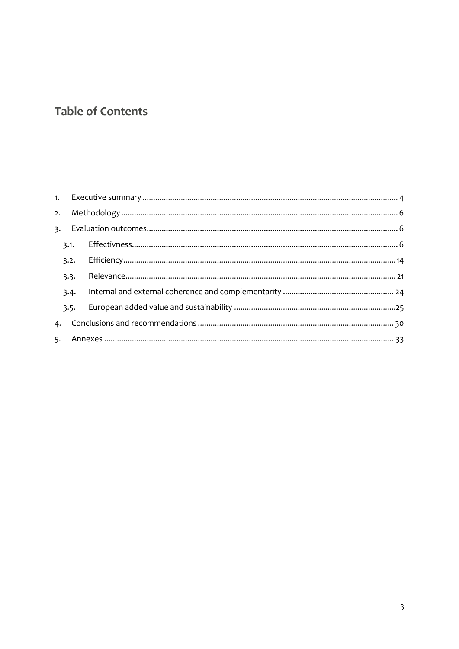## **Table of Contents**

| 3.1. |  |  |
|------|--|--|
| 3.2. |  |  |
| 3.3. |  |  |
| 3.4. |  |  |
| 3.5. |  |  |
|      |  |  |
|      |  |  |
|      |  |  |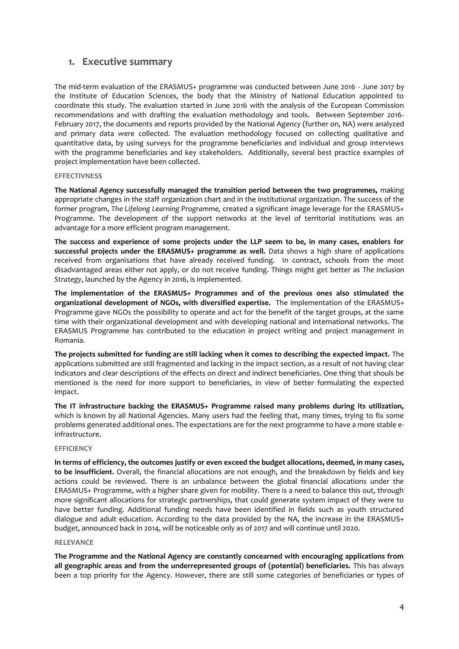## <span id="page-3-0"></span>**1. Executive summary**

The mid-term evaluation of the ERASMUS+ programme was conducted between June 2016 - June 2017 by the Institute of Education Sciences, the body that the Ministry of National Education appointed to coordinate this study. The evaluation started in June 2016 with the analysis of the European Commission recommendations and with drafting the evaluation methodology and tools. Between September 2016- February 2017, the documents and reports provided by the National Agency (further on, NA) were analyzed and primary data were collected. The evaluation methodology focused on collecting qualitative and quantitative data, by using surveys for the programme beneficiaries and individual and group interviews with the programme beneficiaries and key stakeholders. Additionally, several best practice examples of project implementation have been collected.

## **EFFECTIVNESS**

**The National Agency successfully managed the transition period between the two programmes,** making appropriate changes in the staff organization chart and in the institutional organization. The success of the former program, *The Lifelong Learning Programme,* created a significant image leverage for the ERASMUS+ Programme. The development of the support networks at the level of territorial institutions was an advantage for a more efficient program management.

**The success and experience of some projects under the LLP seem to be, in many cases, enablers for successful projects under the ERASMUS+ programme as well.** Data shows a high share of applications received from organisations that have already received funding. In contract, schools from the most disadvantaged areas either not apply, or do not receive funding. Things might get better as *The Inclusion Strategy*, launched by the Agency in 2016, is implemented.

**The implementation of the ERASMUS+ Programmes and of the previous ones also stimulated the organizational development of NGOs, with diversified expertise.** The implementation of the ERASMUS+ Programme gave NGOs the possibility to operate and act for the benefit of the target groups, at the same time with their organizational development and with developing national and international networks. The ERASMUS Programme has contributed to the education in project writing and project management in Romania.

**The projects submitted for funding are still lacking when it comes to describing the expected impact.** The applications submitted are still fragmented and lacking in the impact section, as a result of not having clear indicators and clear descriptions of the effects on direct and indirect beneficiaries. One thing that shouls be mentioned is the need for more support to beneficiaries, in view of better formulating the expected impact.

**The IT infrastructure backing the ERASMUS+ Programme raised many problems during its utilization,**  which is known by all National Agencies. Many users had the feeling that, many times, trying to fix some problems generated additional ones. The expectations are for the next programme to have a more stable einfrastructure.

#### **EFFICIENCY**

**In terms of efficiency, the outcomes justify or even exceed the budget allocations, deemed, in many cases, to be insufficient.** Overall, the financial allocations are not enough, and the breakdown by fields and key actions could be reviewed. There is an unbalance between the global financial allocations under the ERASMUS+ Programme, with a higher share given for mobility. There is a need to balance this out, through more significant allocations for strategic partnerships, that could generate system impact of they were to have better funding. Additional funding needs have been identified in fields such as youth structured dialogue and adult education. According to the data provided by the NA, the increase in the ERASMUS+ budget, announced back in 2014, will be noticeable only as of 2017 and will continue until 2020.

#### **RELEVANCE**

**The Programme and the National Agency are constantly concearned with encouraging applications from all geographic areas and from the underrepresented groups of (potential) beneficiaries.** This has always been a top priority for the Agency. However, there are still some categories of beneficiaries or types of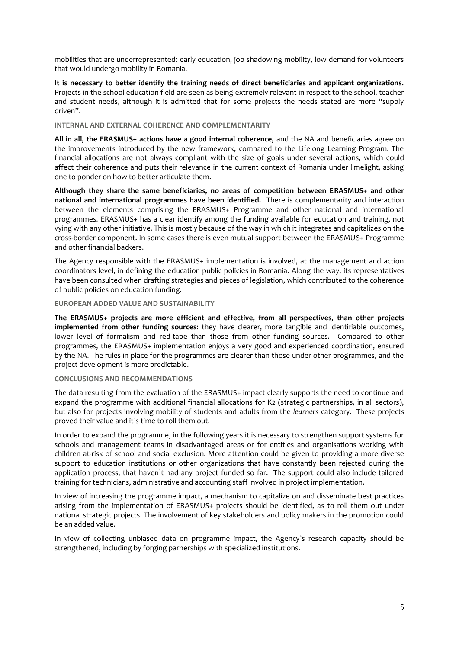mobilities that are underrepresented: early education, job shadowing mobility, low demand for volunteers that would undergo mobility in Romania.

**It is necessary to better identify the training needs of direct beneficiaries and applicant organizations.** Projects in the school education field are seen as being extremely relevant in respect to the school, teacher and student needs, although it is admitted that for some projects the needs stated are more "supply driven".

#### **INTERNAL AND EXTERNAL COHERENCE AND COMPLEMENTARITY**

**All in all, the ERASMUS+ actions have a good internal coherence,** and the NA and beneficiaries agree on the improvements introduced by the new framework, compared to the Lifelong Learning Program. The financial allocations are not always compliant with the size of goals under several actions, which could affect their coherence and puts their relevance in the current context of Romania under limelight, asking one to ponder on how to better articulate them.

**Although they share the same beneficiaries, no areas of competition between ERASMUS+ and other national and international programmes have been identified.** There is complementarity and interaction between the elements comprising the ERASMUS+ Programme and other national and international programmes. ERASMUS+ has a clear identify among the funding available for education and training, not vying with any other initiative. This is mostly because of the way in which it integrates and capitalizes on the cross-border component. In some cases there is even mutual support between the ERASMUS+ Programme and other financial backers.

The Agency responsible with the ERASMUS+ implementation is involved, at the management and action coordinators level, in defining the education public policies in Romania. Along the way, its representatives have been consulted when drafting strategies and pieces of legislation, which contributed to the coherence of public policies on education funding.

#### **EUROPEAN ADDED VALUE AND SUSTAINABILITY**

**The ERASMUS+ projects are more efficient and effective, from all perspectives, than other projects implemented from other funding sources:** they have clearer, more tangible and identifiable outcomes, lower level of formalism and red-tape than those from other funding sources. Compared to other programmes, the ERASMUS+ implementation enjoys a very good and experienced coordination, ensured by the NA. The rules in place for the programmes are clearer than those under other programmes, and the project development is more predictable.

#### **CONCLUSIONS AND RECOMMENDATIONS**

The data resulting from the evaluation of the ERASMUS+ impact clearly supports the need to continue and expand the programme with additional financial allocations for K2 (strategic partnerships, in all sectors), but also for projects involving mobility of students and adults from the *learners* category. These projects proved their value and it`s time to roll them out.

In order to expand the programme, in the following years it is necessary to strengthen support systems for schools and management teams in disadvantaged areas or for entities and organisations working with children at-risk of school and social exclusion. More attention could be given to providing a more diverse support to education institutions or other organizations that have constantly been rejected during the application process, that haven`t had any project funded so far. The support could also include tailored training for technicians, administrative and accounting staff involved in project implementation.

In view of increasing the programme impact, a mechanism to capitalize on and disseminate best practices arising from the implementation of ERASMUS+ projects should be identified, as to roll them out under national strategic projects. The involvement of key stakeholders and policy makers in the promotion could be an added value.

In view of collecting unbiased data on programme impact, the Agency`s research capacity should be strengthened, including by forging parnerships with specialized institutions.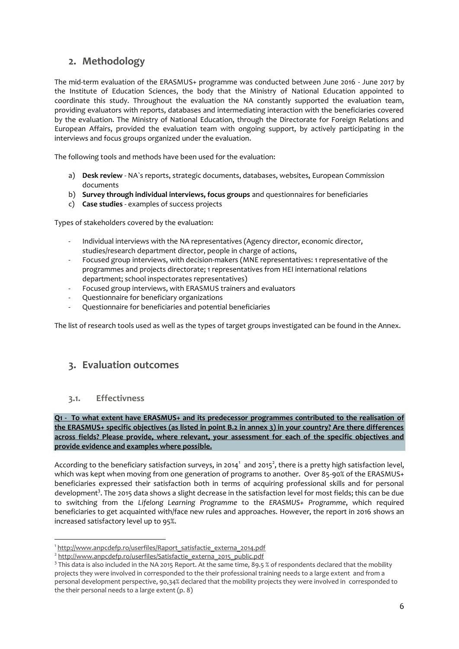## <span id="page-5-0"></span>**2. Methodology**

The mid-term evaluation of the ERASMUS+ programme was conducted between June 2016 - June 2017 by the Institute of Education Sciences, the body that the Ministry of National Education appointed to coordinate this study. Throughout the evaluation the NA constantly supported the evaluation team, providing evaluators with reports, databases and intermediating interaction with the beneficiaries covered by the evaluation. The Ministry of National Education, through the Directorate for Foreign Relations and European Affairs, provided the evaluation team with ongoing support, by actively participating in the interviews and focus groups organized under the evaluation.

The following tools and methods have been used for the evaluation:

- a) **Desk review**  NA`s reports, strategic documents, databases, websites, European Commission documents
- b) **Survey through individual interviews, focus groups** and questionnaires for beneficiaries
- c) **Case studies**  examples of success projects

Types of stakeholders covered by the evaluation:

- Individual interviews with the NA representatives (Agency director, economic director, studies/research department director, people in charge of actions,
- Focused group interviews, with decision-makers (MNE representatives: 1 representative of the programmes and projects directorate; 1 representatives from HEI international relations department; school inspectorates representatives)
- Focused group interviews, with ERASMUS trainers and evaluators
- Questionnaire for beneficiary organizations
- Questionnaire for beneficiaries and potential beneficiaries

The list of research tools used as well as the types of target groups investigated can be found in the Annex.

## <span id="page-5-1"></span>**3. Evaluation outcomes**

## <span id="page-5-2"></span>**3.1. Effectivness**

**Q1 - To what extent have ERASMUS+ and its predecessor programmes contributed to the realisation of the ERASMUS+ specific objectives (as listed in point B.2 in annex 3) in your country? Are there differences across fields? Please provide, where relevant, your assessment for each of the specific objectives and provide evidence and examples where possible.**

According to the beneficiary satisfaction surveys, in 2014 $^1$  and 2015 $^2$ , there is a pretty high satisfaction level, which was kept when moving from one generation of programs to another. Over 85-90% of the ERASMUS+ beneficiaries expressed their satisfaction both in terms of acquiring professional skills and for personal development<sup>3</sup>. The 2015 data shows a slight decrease in the satisfaction level for most fields; this can be due to switching from the *Lifelong Learning Programme* to the *ERASMUS+ Programme*, which required beneficiaries to get acquainted with/face new rules and approaches. However, the report in 2016 shows an increased satisfactory level up to 95%.

<sup>-</sup>1 [http://www.anpcdefp.ro/userfiles/Raport\\_satisfactie\\_externa\\_2014.pdf](http://www.anpcdefp.ro/userfiles/Raport_satisfactie_externa_2014.pdf)

<sup>&</sup>lt;sup>2</sup> [http://www.anpcdefp.ro/userfiles/Satisfactie\\_externa\\_2015\\_public.pdf](http://www.anpcdefp.ro/userfiles/Satisfactie_externa_2015_public.pdf)

 $3$  This data is also included in the NA 2015 Report. At the same time, 89.5 % of respondents declared that the mobility projects they were involved in corresponded to the their professional training needs to a large extent and from a personal development perspective, 90,34% declared that the mobility projects they were involved in corresponded to the their personal needs to a large extent (p. 8)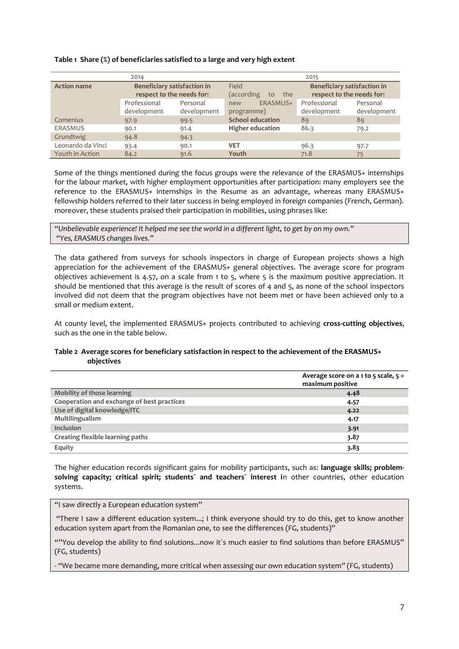#### **Table 1 Share (%) of beneficiaries satisfied to a large and very high extent**

|                    | 2014                                                            |                         | 2015                                                                                                |                             |                         |
|--------------------|-----------------------------------------------------------------|-------------------------|-----------------------------------------------------------------------------------------------------|-----------------------------|-------------------------|
| <b>Action name</b> | <b>Beneficiary satisfaction in</b><br>respect to the needs for: |                         | <b>Beneficiary satisfaction in</b><br>Field<br>respect to the needs for:<br>(according<br>the<br>to |                             |                         |
|                    | Professional<br>development                                     | Personal<br>development | ERASMUS+<br>new<br>programme)                                                                       | Professional<br>development | Personal<br>development |
| Comenius           | 97.9                                                            | 99.5                    | <b>School education</b>                                                                             | 89                          | 89                      |
| <b>ERASMUS</b>     | 90.1                                                            | 91.4                    | <b>Higher education</b>                                                                             | 86.3                        | 79.2                    |
| Grundtwig          | 94.8                                                            | 94.3                    |                                                                                                     |                             |                         |
| Leonardo da Vinci  | 93.4                                                            | 90.1                    | <b>VET</b>                                                                                          | 96.3                        | 97.7                    |
| Youth in Action    | 84.2                                                            | 91.6                    | Youth                                                                                               | 71.8                        | 75                      |

Some of the things mentioned during the focus groups were the relevance of the ERASMUS+ internships for the labour market, with higher employment opportunities after participation: many employers see the reference to the ERASMUS+ internships in the Resume as an advantage, whereas many ERASMUS+ fellowship holders referred to their later success in being employed in foreign companies (French, German). moreover, these students praised their participation in mobilities, using phrases like:

*"Unbelievable experience! It helped me see the world in a different light, to get by on my own." "Yes, ERASMUS changes lives."*

The data gathered from surveys for schools inspectors in charge of European projects shows a high appreciation for the achievement of the ERASMUS+ general objectives. The average score for program objectives achievement is 4.57, on a scale from 1 to 5, where 5 is the maximum positive appreciation. It should be mentioned that this average is the result of scores of 4 and 5, as none of the school inspectors involved did not deem that the program objectives have not beem met or have been achieved only to a small or medium extent.

At county level, the implemented ERASMUS+ projects contributed to achieving **cross-cutting objectives**, such as the one in the table below.

## **Table 2 Average scores for beneficiary satisfaction in respect to the achievement of the ERASMUS+ objectives**

|                                            | Average score on a 1 to 5 scale, $5 =$ |
|--------------------------------------------|----------------------------------------|
|                                            | maximum positive                       |
| Mobility of those learning                 | 4.48                                   |
| Cooperation and exchange of best practices | 4.57                                   |
| Use of digital knowledge/ITC               | 4.22                                   |
| Multilingualism                            | 4.17                                   |
| Inclusion                                  | 3.91                                   |
| Creating flexible learning paths           | 3.87                                   |
| Equity                                     | 3.83                                   |

The higher education records significant gains for mobility participants, such as: **language skills; problemsolving capacity; critical spirit; students` and teachers` interest i**n other countries, other education systems.

"I saw directly a European education system"

"There I saw a different education system...; I think everyone should try to do this, get to know another education system apart from the Romanian one, to see the differences (FG, students)"

""You develop the ability to find solutions...now it`s much easier to find solutions than before ERASMUS" (FG, students)

- "We became more demanding, more critical when assessing our own education system" (FG, students)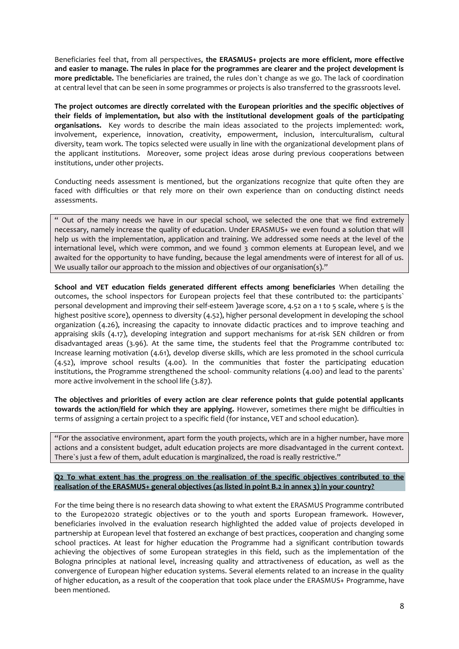Beneficiaries feel that, from all perspectives, **the ERASMUS+ projects are more efficient, more effective and easier to manage. The rules in place for the programmes are clearer and the project development is more predictable.** The beneficiaries are trained, the rules don`t change as we go. The lack of coordination at central level that can be seen in some programmes or projects is also transferred to the grassroots level.

**The project outcomes are directly correlated with the European priorities and the specific objectives of their fields of implementation, but also with the institutional development goals of the participating organisations.** Key words to describe the main ideas associated to the projects implemented: work, involvement, experience, innovation, creativity, empowerment, inclusion, interculturalism, cultural diversity, team work. The topics selected were usually in line with the organizational development plans of the applicant institutions. Moreover, some project ideas arose during previous cooperations between institutions, under other projects.

Conducting needs assessment is mentioned, but the organizations recognize that quite often they are faced with difficulties or that rely more on their own experience than on conducting distinct needs assessments.

" Out of the many needs we have in our special school, we selected the one that we find extremely necessary, namely increase the quality of education. Under ERASMUS+ we even found a solution that will help us with the implementation, application and training. We addressed some needs at the level of the international level, which were common, and we found 3 common elements at European level, and we awaited for the opportunity to have funding, because the legal amendments were of interest for all of us. We usually tailor our approach to the mission and objectives of our organisation(s)."

**School and VET education fields generated different effects among beneficiaries** When detailing the outcomes, the school inspectors for European projects feel that these contributed to: the participants` personal development and improving their self-esteem )average score, 4.52 on a 1 to 5 scale, where 5 is the highest positive score), openness to diversity (4.52), higher personal development in developing the school organization (4.26), increasing the capacity to innovate didactic practices and to improve teaching and appraising skils (4.17), developing integration and support mechanisms for at-risk SEN children or from disadvantaged areas (3.96). At the same time, the students feel that the Programme contributed to: Increase learning motivation (4.61), develop diverse skills, which are less promoted in the school curricula (4.52), improve school results (4.00). In the communities that foster the participating education institutions, the Programme strengthened the school- community relations (4.00) and lead to the parents` more active involvement in the school life (3.87).

**The objectives and priorities of every action are clear reference points that guide potential applicants towards the action/field for which they are applying.** However, sometimes there might be difficulties in terms of assigning a certain project to a specific field (for instance, VET and school education).

"For the associative environment, apart form the youth projects, which are in a higher number, have more actions and a consistent budget, adult education projects are more disadvantaged in the current context. There`s just a few of them, adult education is marginalized, the road is really restrictive."

#### **Q2 To what extent has the progress on the realisation of the specific objectives contributed to the realisation of the ERASMUS+ general objectives (as listed in point B.2 in annex 3) in your country?**

For the time being there is no research data showing to what extent the ERASMUS Programme contributed to the Europe2020 strategic objectives or to the youth and sports European framework. However, beneficiaries involved in the evaluation research highlighted the added value of projects developed in partnership at European level that fostered an exchange of best practices, cooperation and changing some school practices. At least for higher education the Programme had a significant contribution towards achieving the objectives of some European strategies in this field, such as the implementation of the Bologna principles at national level, increasing quality and attractiveness of education, as well as the convergence of European higher education systems. Several elements related to an increase in the quality of higher education, as a result of the cooperation that took place under the ERASMUS+ Programme, have been mentioned.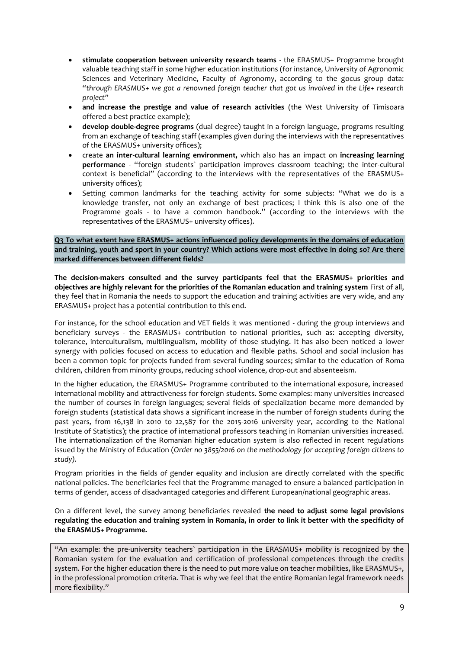- **stimulate cooperation between university research teams**  the ERASMUS+ Programme brought valuable teaching staff in some higher education institutions (for instance, University of Agronomic Sciences and Veterinary Medicine, Faculty of Agronomy, according to the gocus group data: *"through ERASMUS+ we got a renowned foreign teacher that got us involved in the Life+ research project"*
- **and increase the prestige and value of research activities** (the West University of Timisoara offered a best practice example);
- **develop double-degree programs** (dual degree) taught in a foreign language, programs resulting from an exchange of teaching staff (examples given during the interviews with the representatives of the ERASMUS+ university offices);
- create **an inter-cultural learning environment,** which also has an impact on **increasing learning performance** - "foreign students` participation improves classroom teaching; the inter-cultural context is beneficial" (according to the interviews with the representatives of the ERASMUS+ university offices);
- Setting common landmarks for the teaching activity for some subjects: "What we do is a knowledge transfer, not only an exchange of best practices; I think this is also one of the Programme goals - to have a common handbook." (according to the interviews with the representatives of the ERASMUS+ university offices).

**Q3 To what extent have ERASMUS+ actions influenced policy developments in the domains of education and training, youth and sport in your country? Which actions were most effective in doing so? Are there marked differences between different fields?** 

**The decision-makers consulted and the survey participants feel that the ERASMUS+ priorities and objectives are highly relevant for the priorities of the Romanian education and training system** First of all, they feel that in Romania the needs to support the education and training activities are very wide, and any ERASMUS+ project has a potential contribution to this end.

For instance, for the school education and VET fields it was mentioned - during the group interviews and beneficiary surveys - the ERASMUS+ contribution to national priorities, such as: accepting diversity, tolerance, interculturalism, multilingualism, mobility of those studying. It has also been noticed a lower synergy with policies focused on access to education and flexible paths. School and social inclusion has been a common topic for projects funded from several funding sources; similar to the education of Roma children, children from minority groups, reducing school violence, drop-out and absenteeism.

In the higher education, the ERASMUS+ Programme contributed to the international exposure, increased international mobility and attractiveness for foreign students. Some examples: many universities increased the number of courses in foreign languages; several fields of specialization became more demanded by foreign students (statistical data shows a significant increase in the number of foreign students during the past years, from 16,138 in 2010 to 22,587 for the 2015-2016 university year, according to the National Institute of Statistics); the practice of international professors teaching in Romanian universities increased. The internationalization of the Romanian higher education system is also reflected in recent regulations issued by the Ministry of Education (*Order no 3855/2016 on the methodology for accepting foreign citizens to study).*

Program priorities in the fields of gender equality and inclusion are directly correlated with the specific national policies. The beneficiaries feel that the Programme managed to ensure a balanced participation in terms of gender, access of disadvantaged categories and different European/national geographic areas.

On a different level, the survey among beneficiaries revealed **the need to adjust some legal provisions regulating the education and training system in Romania, in order to link it better with the specificity of the ERASMUS+ Programme.**

"An example: the pre-university teachers` participation in the ERASMUS+ mobility is recognized by the Romanian system for the evaluation and certification of professional competences through the credits system. For the higher education there is the need to put more value on teacher mobilities, like ERASMUS+, in the professional promotion criteria. That is why we feel that the entire Romanian legal framework needs more flexibility."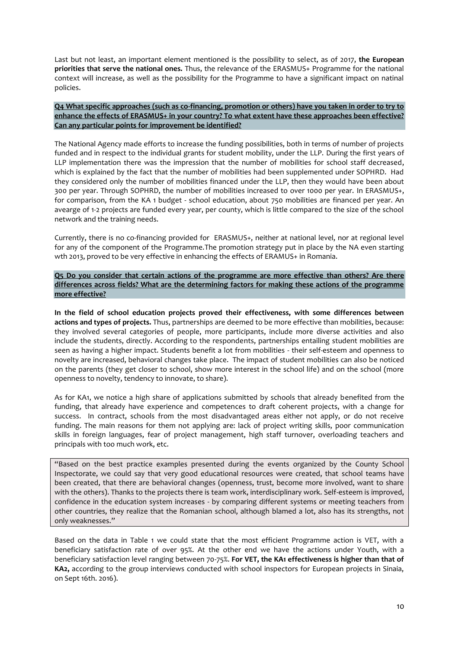Last but not least, an important element mentioned is the possibility to select, as of 2017, **the European priorities that serve the national ones.** Thus, the relevance of the ERASMUS+ Programme for the national context will increase, as well as the possibility for the Programme to have a significant impact on natinal policies.

## **Q4 What specific approaches (such as co-financing, promotion or others) have you taken in order to try to enhance the effects of ERASMUS+ in your country? To what extent have these approaches been effective? Can any particular points for improvement be identified?**

The National Agency made efforts to increase the funding possibilities, both in terms of number of projects funded and in respect to the individual grants for student mobility, under the LLP. During the first years of LLP implementation there was the impression that the number of mobilities for school staff decreased, which is explained by the fact that the number of mobilities had been supplemented under SOPHRD. Had they considered only the number of mobilities financed under the LLP, then they would have been about 300 per year. Through SOPHRD, the number of mobilities increased to over 1000 per year. In ERASMUS+, for comparison, from the KA 1 budget - school education, about 750 mobilities are financed per year. An avearge of 1-2 projects are funded every year, per county, which is little compared to the size of the school network and the training needs.

Currently, there is no co-financing provided for ERASMUS+, neither at national level, nor at regional level for any of the component of the Programme.The promotion strategy put in place by the NA even starting wth 2013, proved to be very effective in enhancing the effects of ERAMUS+ in Romania.

**Q5 Do you consider that certain actions of the programme are more effective than others? Are there differences across fields? What are the determining factors for making these actions of the programme more effective?** 

**In the field of school education projects proved their effectiveness, with some differences between actions and types of projects.** Thus, partnerships are deemed to be more effective than mobilities, because: they involved several categories of people, more participants, include more diverse activities and also include the students, directly. According to the respondents, partnerships entailing student mobilities are seen as having a higher impact. Students benefit a lot from mobilities - their self-esteem and openness to novelty are increased, behavioral changes take place. The impact of student mobilities can also be noticed on the parents (they get closer to school, show more interest in the school life) and on the school (more openness to novelty, tendency to innovate, to share).

As for KA1, we notice a high share of applications submitted by schools that already benefited from the funding, that already have experience and competences to draft coherent projects, with a change for success. In contract, schools from the most disadvantaged areas either not apply, or do not receive funding. The main reasons for them not applying are: lack of project writing skills, poor communication skills in foreign languages, fear of project management, high staff turnover, overloading teachers and principals with too much work, etc.

"Based on the best practice examples presented during the events organized by the County School Inspectorate, we could say that very good educational resources were created, that school teams have been created, that there are behavioral changes (openness, trust, become more involved, want to share with the others). Thanks to the projects there is team work, interdisciplinary work. Self-esteem is improved, confidence in the education system increases - by comparing different systems or meeting teachers from other countries, they realize that the Romanian school, although blamed a lot, also has its strengths, not only weaknesses."

Based on the data in Table 1 we could state that the most efficient Programme action is VET, with a beneficiary satisfaction rate of over 95%. At the other end we have the actions under Youth, with a beneficiary satisfaction level ranging between 70-75%. **For VET, the KA1 effectiveness is higher than that of KA2,** according to the group interviews conducted with school inspectors for European projects in Sinaia, on Sept 16th. 2016).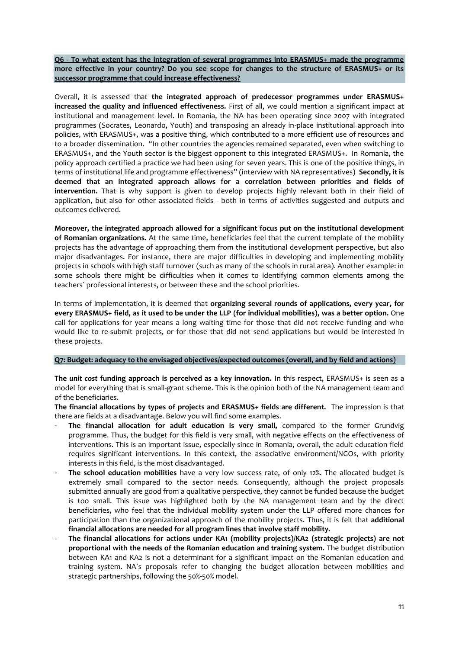**Q6 - To what extent has the integration of several programmes into ERASMUS+ made the programme more effective in your country? Do you see scope for changes to the structure of ERASMUS+ or its successor programme that could increase effectiveness?** 

Overall, it is assessed that **the integrated approach of predecessor programmes under ERASMUS+ increased the quality and influenced effectiveness.** First of all, we could mention a significant impact at institutional and management level. In Romania, the NA has been operating since 2007 with integrated programmes (Socrates, Leonardo, Youth) and transposing an already in-place institutional approach into policies, with ERASMUS+, was a positive thing, which contributed to a more efficient use of resources and to a broader dissemination. "In other countries the agencies remained separated, even when switching to ERASMUS+, and the Youth sector is the biggest opponent to this integrated ERASMUS+. In Romania, the policy approach certified a practice we had been using for seven years. This is one of the positive things, in terms of institutional life and programme effectiveness" (interview with NA representatives) **Secondly, it is deemed that an integrated approach allows for a correlation between priorities and fields of intervention.** That is why support is given to develop projects highly relevant both in their field of application, but also for other associated fields - both in terms of activities suggested and outputs and outcomes delivered.

**Moreover, the integrated approach allowed for a significant focus put on the institutional development of Romanian organizations.** At the same time, beneficiaries feel that the current template of the mobility projects has the advantage of approaching them from the institutional development perspective, but also major disadvantages. For instance, there are major difficulties in developing and implementing mobility projects in schools with high staff turnover (such as many of the schools in rural area). Another example: in some schools there might be difficulties when it comes to identifying common elements among the teachers` professional interests, or between these and the school priorities.

In terms of implementation, it is deemed that **organizing several rounds of applications, every year, for every ERASMUS+ field, as it used to be under the LLP (for individual mobilities), was a better option.** One call for applications for year means a long waiting time for those that did not receive funding and who would like to re-submit projects, or for those that did not send applications but would be interested in these projects.

## **Q7: Budget: adequacy to the envisaged objectives/expected outcomes (overall, and by field and actions)**

**The** *unit cost* **funding approach is perceived as a key innovation.** In this respect, ERASMUS+ is seen as a model for everything that is small-grant scheme. This is the opinion both of the NA management team and of the beneficiaries.

**The financial allocations by types of projects and ERASMUS+ fields are different.** The impression is that there are fields at a disadvantage. Below you will find some examples.

- The financial allocation for adult education is very small, compared to the former Grundvig programme. Thus, the budget for this field is very small, with negative effects on the effectiveness of interventions. This is an important issue, especially since in Romania, overall, the adult education field requires significant interventions. In this context, the associative environment/NGOs, with priority interests in this field, is the most disadvantaged.
- The school education mobilities have a very low success rate, of only 12%. The allocated budget is extremely small compared to the sector needs. Consequently, although the project proposals submitted annually are good from a qualitative perspective, they cannot be funded because the budget is too small. This issue was highlighted both by the NA management team and by the direct beneficiaries, who feel that the individual mobility system under the LLP offered more chances for participation than the organizational approach of the mobility projects. Thus, it is felt that **additional financial allocations are needed for all program lines that involve staff mobility.**
- **The financial allocations for actions under KA1 (mobility projects)/KA2 (strategic projects) are not proportional with the needs of the Romanian education and training system.** The budget distribution between KA1 and KA2 is not a determinant for a significant impact on the Romanian education and training system. NA`s proposals refer to changing the budget allocation between mobilities and strategic partnerships, following the 50%-50% model.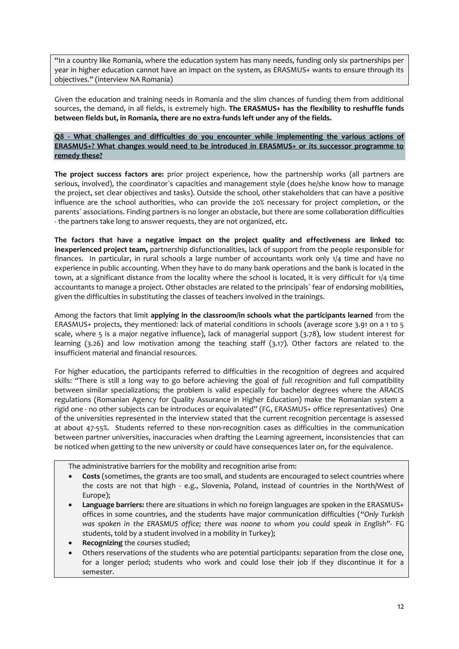"In a country like Romania, where the education system has many needs, funding only six partnerships per year in higher education cannot have an impact on the system, as ERASMUS+ wants to ensure through its objectives." (interview NA Romania)

Given the education and training needs in Romania and the slim chances of funding them from additional sources, the demand, in all fields, is extremely high. **The ERASMUS+ has the flexibility to reshuffle funds between fields but, in Romania, there are no extra-funds left under any of the fields.**

## **Q8 - What challenges and difficulties do you encounter while implementing the various actions of ERASMUS+? What changes would need to be introduced in ERASMUS+ or its successor programme to remedy these?**

**The project success factors are:** prior project experience, how the partnership works (all partners are serious, involved), the coordinator`s capacities and management style (does he/she know how to manage the project, set clear objectives and tasks). Outside the school, other stakeholders that can have a positive influence are the school authorities, who can provide the 20% necessary for project completion, or the parents` associations. Finding partners is no longer an obstacle, but there are some collaboration difficulties - the partners take long to answer requests, they are not organized, etc.

**The factors that have a negative impact on the project quality and effectiveness are linked to: inexperienced project team,** partnership disfunctionalities, lack of support from the people responsible for finances. In particular, in rural schools a large number of accountants work only 1/4 time and have no experience in public accounting. When they have to do many bank operations and the bank is located in the town, at a significant distance from the locality where the school is located, it is very difficult for 1/4 time accountants to manage a project. Other obstacles are related to the principals` fear of endorsing mobilities, given the difficulties in substituting the classes of teachers involved in the trainings.

Among the factors that limit **applying in the classroom/in schools what the participants learned** from the ERASMUS+ projects, they mentioned: lack of material conditions in schools (average score 3.91 on a 1 to 5 scale, where 5 is a major negative influence), lack of managerial support (3.78), low student interest for learning (3.26) and low motivation among the teaching staff (3.17). Other factors are related to the insufficient material and financial resources.

For higher education, the participants referred to difficulties in the recognition of degrees and acquired skills: "There is still a long way to go before achieving the goal of *full recognition* and full compatibility between similar specializations; the problem is valid especially for bachelor degrees where the ARACIS regulations (Romanian Agency for Quality Assurance in Higher Education) make the Romanian system a rigid one - no other subjects can be introduces or equivalated" (FG, ERASMUS+ office representatives) One of the universities represented in the interview stated that the current recognition percentage is assessed at about 47-55%. Students referred to these non-recognition cases as difficulties in the communication between partner universities, inaccuracies when drafting the Learning agreement, inconsistencies that can be noticed when getting to the new university or could have consequences later on, for the equivalence.

The administrative barriers for the mobility and recognition arise from:

- **Costs** (sometimes, the grants are too small, and students are encouraged to select countries where the costs are not that high - e.g., Slovenia, Poland, instead of countries in the North/West of Europe);
- **Language barriers:** there are situations in which no foreign languages are spoken in the ERASMUS+ offices in some countries, and the students have major communication difficulties (*"Only Turkish was spoken in the ERASMUS office; there was noone to whom you could speak in English"*- FG students, told by a student involved in a mobility in Turkey);
- **Recognizing** the courses studied;
- Others reservations of the students who are potential participants: separation from the close one, for a longer period; students who work and could lose their job if they discontinue it for a semester.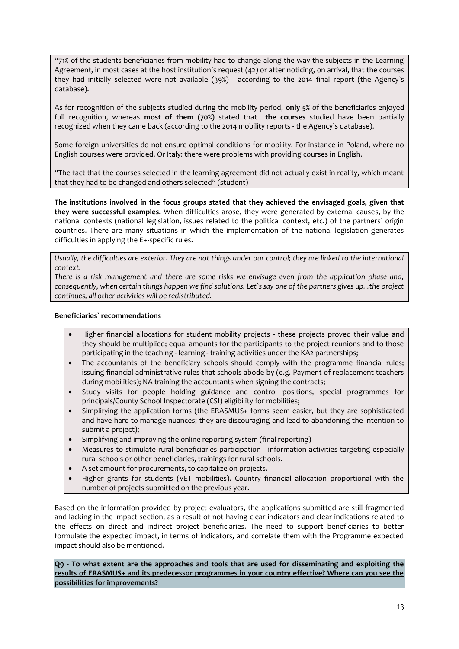"71% of the students beneficiaries from mobility had to change along the way the subjects in the Learning Agreement, in most cases at the host institution`s request (42) or after noticing, on arrival, that the courses they had initially selected were not available (39%) - according to the 2014 final report (the Agency`s database).

As for recognition of the subjects studied during the mobility period, **only 5%** of the beneficiaries enjoyed full recognition, whereas **most of them (70%)** stated that **the courses** studied have been partially recognized when they came back (according to the 2014 mobility reports - the Agency`s database).

Some foreign universities do not ensure optimal conditions for mobility. For instance in Poland, where no English courses were provided. Or Italy: there were problems with providing courses in English.

"The fact that the courses selected in the learning agreement did not actually exist in reality, which meant that they had to be changed and others selected" (student)

**The institutions involved in the focus groups stated that they achieved the envisaged goals, given that they were successful examples.** When difficulties arose, they were generated by external causes, by the national contexts (national legislation, issues related to the political context, etc.) of the partners` origin countries. There are many situations in which the implementation of the national legislation generates difficulties in applying the E+-specific rules.

*Usually, the difficulties are exterior. They are not things under our control; they are linked to the international context.* 

*There is a risk management and there are some risks we envisage even from the application phase and, consequently, when certain things happen we find solutions. Let`s say one of the partners gives up...the project continues, all other activities will be redistributed.* 

## **Beneficiaries` recommendations**

- Higher financial allocations for student mobility projects these projects proved their value and they should be multiplied; equal amounts for the participants to the project reunions and to those participating in the teaching - learning - training activities under the KA2 partnerships;
- The accountants of the beneficiary schools should comply with the programme financial rules; issuing financial-administrative rules that schools abode by (e.g. Payment of replacement teachers during mobilities); NA training the accountants when signing the contracts;
- Study visits for people holding guidance and control positions, special programmes for principals/County School Inspectorate (CSI) eligibility for mobilities;
- Simplifying the application forms (the ERASMUS+ forms seem easier, but they are sophisticated and have hard-to-manage nuances; they are discouraging and lead to abandoning the intention to submit a project);
- Simplifying and improving the online reporting system (final reporting)
- Measures to stimulate rural beneficiaries participation information activities targeting especially rural schools or other beneficiaries, trainings for rural schools.
- A set amount for procurements, to capitalize on projects.
- Higher grants for students (VET mobilities). Country financial allocation proportional with the number of projects submitted on the previous year.

Based on the information provided by project evaluators, the applications submitted are still fragmented and lacking in the impact section, as a result of not having clear indicators and clear indications related to the effects on direct and indirect project beneficiaries. The need to support beneficiaries to better formulate the expected impact, in terms of indicators, and correlate them with the Programme expected impact should also be mentioned.

**Q9 - To what extent are the approaches and tools that are used for disseminating and exploiting the results of ERASMUS+ and its predecessor programmes in your country effective? Where can you see the possibilities for improvements?**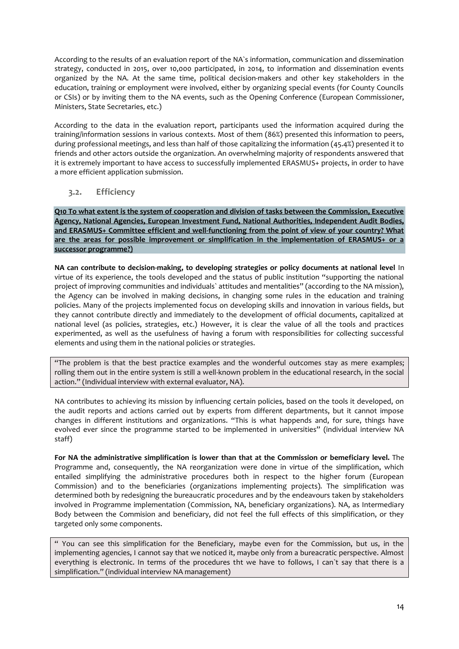According to the results of an evaluation report of the NA`s information, communication and dissemination strategy, conducted in 2015, over 10,000 participated, in 2014, to information and dissemination events organized by the NA. At the same time, political decision-makers and other key stakeholders in the education, training or employment were involved, either by organizing special events (for County Councils or CSIs) or by inviting them to the NA events, such as the Opening Conference (European Commissioner, Ministers, State Secretaries, etc.)

According to the data in the evaluation report, participants used the information acquired during the training/information sessions in various contexts. Most of them (86%) presented this information to peers, during professional meetings, and less than half of those capitalizing the information (45.4%) presented it to friends and other actors outside the organization. An overwhelming majority of respondents answered that it is extremely important to have access to successfully implemented ERASMUS+ projects, in order to have a more efficient application submission.

## <span id="page-13-0"></span>**3.2. Efficiency**

**Q10 To what extent is the system of cooperation and division of tasks between the Commission, Executive Agency, National Agencies, European Investment Fund, National Authorities, Independent Audit Bodies, and ERASMUS+ Committee efficient and well-functioning from the point of view of your country? What are the areas for possible improvement or simplification in the implementation of ERASMUS+ or a successor programme?)**

**NA can contribute to decision-making, to developing strategies or policy documents at national level** In virtue of its experience, the tools developed and the status of public institution "supporting the national project of improving communities and individuals` attitudes and mentalities" (according to the NA mission), the Agency can be involved in making decisions, in changing some rules in the education and training policies. Many of the projects implemented focus on developing skills and innovation in various fields, but they cannot contribute directly and immediately to the development of official documents, capitalized at national level (as policies, strategies, etc.) However, it is clear the value of all the tools and practices experimented, as well as the usefulness of having a forum with responsibilities for collecting successful elements and using them in the national policies or strategies.

"The problem is that the best practice examples and the wonderful outcomes stay as mere examples; rolling them out in the entire system is still a well-known problem in the educational research, in the social action." (Individual interview with external evaluator, NA).

NA contributes to achieving its mission by influencing certain policies, based on the tools it developed, on the audit reports and actions carried out by experts from different departments, but it cannot impose changes in different institutions and organizations. "This is what happends and, for sure, things have evolved ever since the programme started to be implemented in universities" (individual interview NA staff)

**For NA the administrative simplification is lower than that at the Commission or bemeficiary level.** The Programme and, consequently, the NA reorganization were done in virtue of the simplification, which entailed simplifying the administrative procedures both in respect to the higher forum (European Commission) and to the beneficiaries (organizations implementing projects). The simplification was determined both by redesigning the bureaucratic procedures and by the endeavours taken by stakeholders involved in Programme implementation (Commission, NA, beneficiary organizations). NA, as Intermediary Body between the Commision and beneficiary, did not feel the full effects of this simplification, or they targeted only some components.

" You can see this simplification for the Beneficiary, maybe even for the Commission, but us, in the implementing agencies, I cannot say that we noticed it, maybe only from a bureacratic perspective. Almost everything is electronic. In terms of the procedures tht we have to follows, I can`t say that there is a simplification." (individual interview NA management)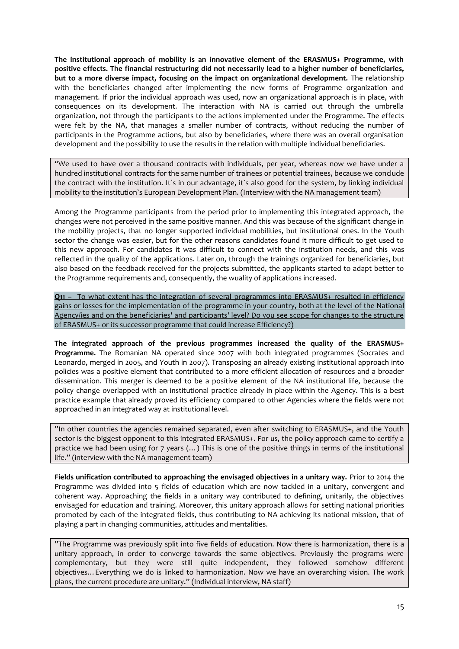**The institutional approach of mobility is an innovative element of the ERASMUS+ Programme, with positive effects. The financial restructuring did not necessarily lead to a higher number of beneficiaries, but to a more diverse impact, focusing on the impact on organizational development.** The relationship with the beneficiaries changed after implementing the new forms of Programme organization and management. If prior the individual approach was used, now an organizational approach is in place, with consequences on its development. The interaction with NA is carried out through the umbrella organization, not through the participants to the actions implemented under the Programme. The effects were felt by the NA, that manages a smaller number of contracts, without reducing the number of participants in the Programme actions, but also by beneficiaries, where there was an overall organisation development and the possibility to use the results in the relation with multiple individual beneficiaries.

"We used to have over a thousand contracts with individuals, per year, whereas now we have under a hundred institutional contracts for the same number of trainees or potential trainees, because we conclude the contract with the institution. It`s in our advantage, it`s also good for the system, by linking individual mobility to the institution`s European Development Plan. (Interview with the NA management team)

Among the Programme participants from the period prior to implementing this integrated approach, the changes were not perceived in the same positive manner. And this was because of the significant change in the mobility projects, that no longer supported individual mobilities, but institutional ones. In the Youth sector the change was easier, but for the other reasons candidates found it more difficult to get used to this new approach. For candidates it was difficult to connect with the institution needs, and this was reflected in the quality of the applications. Later on, through the trainings organized for beneficiaries, but also based on the feedback received for the projects submitted, the applicants started to adapt better to the Programme requirements and, consequently, the wuality of applications increased.

**Q11 –** To what extent has the integration of several programmes into ERASMUS+ resulted in efficiency gains or losses for the implementation of the programme in your country, both at the level of the National Agency/ies and on the beneficiaries' and participants' level? Do you see scope for changes to the structure of ERASMUS+ or its successor programme that could increase Efficiency?)

**The integrated approach of the previous programmes increased the quality of the ERASMUS+ Programme.** The Romanian NA operated since 2007 with both integrated programmes (Socrates and Leonardo, merged in 2005, and Youth in 2007). Transposing an already existing institutional approach into policies was a positive element that contributed to a more efficient allocation of resources and a broader dissemination. This merger is deemed to be a positive element of the NA institutional life, because the policy change overlapped with an institutional practice already in place within the Agency. This is a best practice example that already proved its efficiency compared to other Agencies where the fields were not approached in an integrated way at institutional level.

"In other countries the agencies remained separated, even after switching to ERASMUS+, and the Youth sector is the biggest opponent to this integrated ERASMUS+. For us, the policy approach came to certify a practice we had been using for 7 years (…) This is one of the positive things in terms of the institutional life." (interview with the NA management team)

**Fields unification contributed to approaching the envisaged objectives in a unitary way.** Prior to 2014 the Programme was divided into 5 fields of education which are now tackled in a unitary, convergent and coherent way. Approaching the fields in a unitary way contributed to defining, unitarily, the objectives envisaged for education and training. Moreover, this unitary approach allows for setting national priorities promoted by each of the integrated fields, thus contributing to NA achieving its national mission, that of playing a part in changing communities, attitudes and mentalities.

"The Programme was previously split into five fields of education. Now there is harmonization, there is a unitary approach, in order to converge towards the same objectives. Previously the programs were complementary, but they were still quite independent, they followed somehow different objectives…Everything we do is linked to harmonization. Now we have an overarching vision. The work plans, the current procedure are unitary." (Individual interview, NA staff)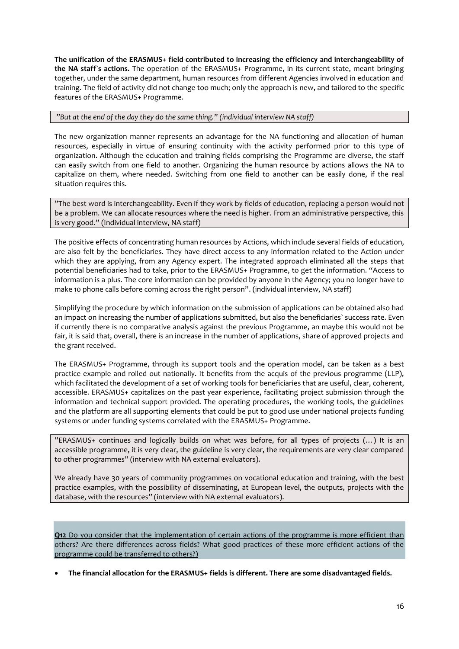**The unification of the ERASMUS+ field contributed to increasing the efficiency and interchangeability of**  the NA staff's actions. The operation of the ERASMUS+ Programme, in its current state, meant bringing together, under the same department, human resources from different Agencies involved in education and training. The field of activity did not change too much; only the approach is new, and tailored to the specific features of the ERASMUS+ Programme.

#### "*But at the end of the day they do the same thing." (individual interview NA staff)*

The new organization manner represents an advantage for the NA functioning and allocation of human resources, especially in virtue of ensuring continuity with the activity performed prior to this type of organization. Although the education and training fields comprising the Programme are diverse, the staff can easily switch from one field to another. Organizing the human resource by actions allows the NA to capitalize on them, where needed. Switching from one field to another can be easily done, if the real situation requires this.

"The best word is interchangeability. Even if they work by fields of education, replacing a person would not be a problem. We can allocate resources where the need is higher. From an administrative perspective, this is very good." (Individual interview, NA staff)

The positive effects of concentrating human resources by Actions, which include several fields of education, are also felt by the beneficiaries. They have direct access to any information related to the Action under which they are applying, from any Agency expert. The integrated approach eliminated all the steps that potential beneficiaries had to take, prior to the ERASMUS+ Programme, to get the information. "Access to information is a plus. The core information can be provided by anyone in the Agency; you no longer have to make 10 phone calls before coming across the right person". (individual interview, NA staff)

Simplifying the procedure by which information on the submission of applications can be obtained also had an impact on increasing the number of applications submitted, but also the beneficiaries` success rate. Even if currently there is no comparative analysis against the previous Programme, an maybe this would not be fair, it is said that, overall, there is an increase in the number of applications, share of approved projects and the grant received.

The ERASMUS+ Programme, through its support tools and the operation model, can be taken as a best practice example and rolled out nationally. It benefits from the acquis of the previous programme (LLP), which facilitated the development of a set of working tools for beneficiaries that are useful, clear, coherent, accessible. ERASMUS+ capitalizes on the past year experience, facilitating project submission through the information and technical support provided. The operating procedures, the working tools, the guidelines and the platform are all supporting elements that could be put to good use under national projects funding systems or under funding systems correlated with the ERASMUS+ Programme.

"ERASMUS+ continues and logically builds on what was before, for all types of projects (…) It is an accessible programme, it is very clear, the guideline is very clear, the requirements are very clear compared to other programmes" (interview with NA external evaluators).

We already have 30 years of community programmes on vocational education and training, with the best practice examples, with the possibility of disseminating, at European level, the outputs, projects with the database, with the resources" (interview with NA external evaluators).

**Q12** Do you consider that the implementation of certain actions of the programme is more efficient than others? Are there differences across fields? What good practices of these more efficient actions of the programme could be transferred to others?)

**The financial allocation for the ERASMUS+ fields is different. There are some disadvantaged fields.**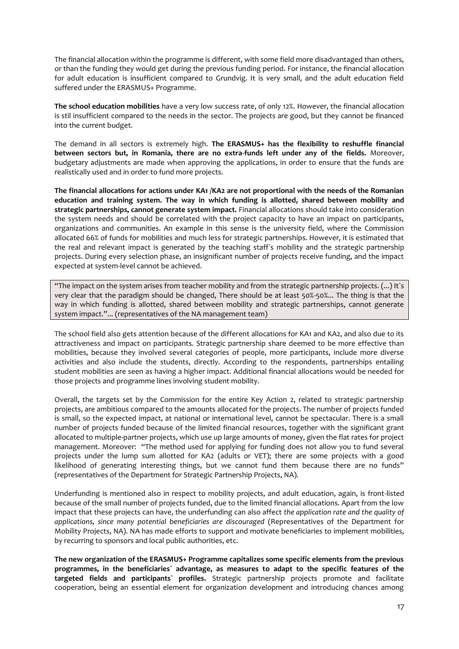The financial allocation within the programme is different, with some field more disadvantaged than others, or than the funding they would get during the previous funding period. For instance, the financial allocation for adult education is insufficient compared to Grundvig. It is very small, and the adult education field suffered under the ERASMUS+ Programme.

**The school education mobilities** have a very low success rate, of only 12%. However, the financial allocation is stil insufficient compared to the needs in the sector. The projects are good, but they cannot be financed into the current budget.

The demand in all sectors is extremely high. **The ERASMUS+ has the flexibility to reshuffle financial between sectors but, in Romania, there are no extra-funds left under any of the fields.** Moreover, budgetary adjustments are made when approving the applications, in order to ensure that the funds are realistically used and in order to fund more projects.

**The financial allocations for actions under KA1 /KA2 are not proportional with the needs of the Romanian education and training system. The way in which funding is allotted, shared between mobility and strategic partnerships, cannot generate system impact.** Financial allocations should take into consideration the system needs and should be correlated with the project capacity to have an impact on participants, organizations and communities. An example in this sense is the university field, where the Commission allocated 66% of funds for mobilities and much less for strategic partnerships. However, it is estimated that the real and relevant impact is generated by the teaching staff`s mobility and the strategic partnership projects. During every selection phase, an insignificant number of projects receive funding, and the impact expected at system-level cannot be achieved.

"The impact on the system arises from teacher mobility and from the strategic partnership projects. (...) It`s very clear that the paradigm should be changed, There should be at least 50%-50%... The thing is that the way in which funding is allotted, shared between mobility and strategic partnerships, cannot generate system impact."... (representatives of the NA management team)

The school field also gets attention because of the different allocations for KA1 and KA2, and also due to its attractiveness and impact on participants. Strategic partnership share deemed to be more effective than mobilities, because they involved several categories of people, more participants, include more diverse activities and also include the students, directly. According to the respondents, partnerships entailing student mobilities are seen as having a higher impact. Additional financial allocations would be needed for those projects and programme lines involving student mobility.

Overall, the targets set by the Commission for the entire Key Action 2, related to strategic partnership projects, are ambitious compared to the amounts allocated for the projects. The number of projects funded is small, so the expected impact, at national or international level, cannot be spectacular. There is a small number of projects funded because of the limited financial resources, together with the significant grant allocated to multiple-partner projects, which use up large amounts of money, given the flat rates for project management. Moreover: "The method used for applying for funding does not allow you to fund several projects under the lump sum allotted for KA2 (adults or VET); there are some projects with a good likelihood of generating interesting things, but we cannot fund them because there are no funds" (representatives of the Department for Strategic Partnership Projects, NA).

Underfunding is mentioned also in respect to mobility projects, and adult education, again, is front-listed because of the small number of projects funded, due to the limited financial allocations. Apart from the low impact that these projects can have, the underfunding can also affect *the application rate and the quality of applications, since many potential beneficiaries are discouraged* (Representatives of the Department for Mobility Projects, NA). NA has made efforts to support and motivate beneficiaries to implement mobilities, by recurring to sponsors and local public authorities, etc.

**The new organization of the ERASMUS+ Programme capitalizes some specific elements from the previous programmes, in the beneficiaries` advantage, as measures to adapt to the specific features of the targeted fields and participants` profiles.** Strategic partnership projects promote and facilitate cooperation, being an essential element for organization development and introducing chances among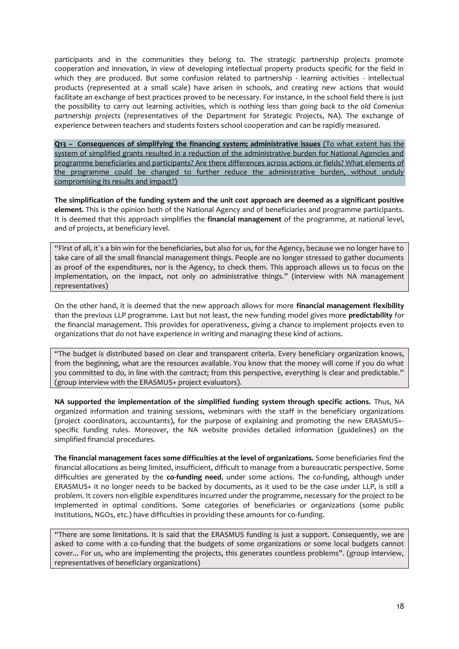participants and in the communities they belong to. The strategic partnership projects promote cooperation and innovation, in view of developing intellectual property products specific for the field in which they are produced. But some confusion related to partnership - learning activities - intellectual products (represented at a small scale) have arisen in schools, and creating new actions that would facilitate an exchange of best practices proved to be necessary. For instance, in the school field there is just the possibility to carry out learning activities, which is nothing less than *going back to the old Comenius partnership projects* (representatives of the Department for Strategic Projects, NA). The exchange of experience between teachers and students fosters school cooperation and can be rapidly measured.

**Q13 – Consequences of simplifying the financing system; administrative issues** (To what extent has the system of simplified grants resulted in a reduction of the administrative burden for National Agencies and programme beneficiaries and participants? Are there differences across actions or fields? What elements of the programme could be changed to further reduce the administrative burden, without unduly compromising its results and impact?)

**The simplification of the funding system and the** *unit cost* **approach are deemed as a significant positive element.** This is the opinion both of the National Agency and of beneficiaries and programme participants. It is deemed that this approach simplifies the **financial management** of the programme, at national level, and of projects, at beneficiary level.

"First of all, it`s a bin win for the beneficiaries, but also for us, for the Agency, because we no longer have to take care of all the small financial management things. People are no longer stressed to gather documents as proof of the expenditures, nor is the Agency, to check them. This approach allows us to focus on the implementation, on the impact, not only on administrative things." (interview with NA management representatives)

On the other hand, it is deemed that the new approach allows for more **financial management flexibility** than the previous LLP programme. Last but not least, the new funding model gives more **predictability** for the financial management. This provides for operativeness, giving a chance to implement projects even to organizations that do not have experience in writing and managing these kind of actions.

"The budget is distributed based on clear and transparent criteria. Every beneficiary organization knows, from the beginning, what are the resources available. You know that the money will come if you do what you committed to do, in line with the contract; from this perspective, everything is clear and predictable." (group interview with the ERASMUS+ project evaluators).

**NA supported the implementation of the simplified funding system through specific actions.** Thus, NA organized information and training sessions, webminars with the staff in the beneficiary organizations (project coordinators, accountants), for the purpose of explaining and promoting the new ERASMUS+ specific funding rules. Moreover, the NA website provides detailed information (guidelines) on the simplified financial procedures.

**The financial management faces some difficulties at the level of organizations.** Some beneficiaries find the financial allocations as being limited, insufficient, difficult to manage from a bureaucratic perspective. Some difficulties are generated by the **co-funding need**, under some actions. The co-funding, although under ERASMUS+ it no longer needs to be backed by documents, as it used to be the case under LLP, is still a problem. It covers non-eligible expenditures incurred under the programme, necessary for the project to be implemented in optimal conditions. Some categories of beneficiaries or organizations (some public institutions, NGOs, etc.) have difficulties in providing these amounts for co-funding.

"There are some limitations. It is said that the ERASMUS funding is just a support. Consequently, we are asked to come with a co-funding that the budgets of some organizations or some local budgets cannot cover... For us, who are implementing the projects, this generates countless problems". (group interview, representatives of beneficiary organizations)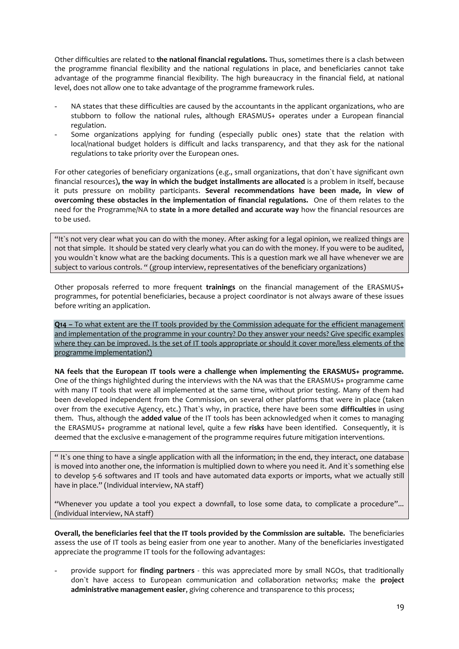Other difficulties are related to **the national financial regulations.** Thus, sometimes there is a clash between the programme financial flexibility and the national regulations in place, and beneficiaries cannot take advantage of the programme financial flexibility. The high bureaucracy in the financial field, at national level, does not allow one to take advantage of the programme framework rules.

- NA states that these difficulties are caused by the accountants in the applicant organizations, who are stubborn to follow the national rules, although ERASMUS+ operates under a European financial regulation.
- Some organizations applying for funding (especially public ones) state that the relation with local/national budget holders is difficult and lacks transparency, and that they ask for the national regulations to take priority over the European ones.

For other categories of beneficiary organizations (e.g., small organizations, that don`t have significant own financial resources)**, the way in which the budget installments are allocated** is a problem in itself, because it puts pressure on mobility participants. **Several recommendations have been made, in view of overcoming these obstacles in the implementation of financial regulations.** One of them relates to the need for the Programme/NA to **state in a more detailed and accurate way** how the financial resources are to be used.

"It`s not very clear what you can do with the money. After asking for a legal opinion, we realized things are not that simple. It should be stated very clearly what you can do with the money. If you were to be audited, you wouldn`t know what are the backing documents. This is a question mark we all have whenever we are subject to various controls. " (group interview, representatives of the beneficiary organizations)

Other proposals referred to more frequent **trainings** on the financial management of the ERASMUS+ programmes, for potential beneficiaries, because a project coordinator is not always aware of these issues before writing an application.

**Q14 –** To what extent are the IT tools provided by the Commission adequate for the efficient management and implementation of the programme in your country? Do they answer your needs? Give specific examples where they can be improved. Is the set of IT tools appropriate or should it cover more/less elements of the programme implementation?)

**NA feels that the European IT tools were a challenge when implementing the ERASMUS+ programme.**  One of the things highlighted during the interviews with the NA was that the ERASMUS+ programme came with many IT tools that were all implemented at the same time, without prior testing. Many of them had been developed independent from the Commission, on several other platforms that were in place (taken over from the executive Agency, etc.) That`s why, in practice, there have been some **difficulties** in using them. Thus, although the **added value** of the IT tools has been acknowledged when it comes to managing the ERASMUS+ programme at national level, quite a few **risks** have been identified. Consequently, it is deemed that the exclusive e-management of the programme requires future mitigation interventions.

" It`s one thing to have a single application with all the information; in the end, they interact, one database is moved into another one, the information is multiplied down to where you need it. And it's something else to develop 5-6 softwares and IT tools and have automated data exports or imports, what we actually still have in place." (Individual interview, NA staff)

"Whenever you update a tool you expect a downfall, to lose some data, to complicate a procedure"... (individual interview, NA staff)

**Overall, the beneficiaries feel that the IT tools provided by the Commission are suitable.** The beneficiaries assess the use of IT tools as being easier from one year to another. Many of the beneficiaries investigated appreciate the programme IT tools for the following advantages:

- provide support for **finding partners** - this was appreciated more by small NGOs, that traditionally don`t have access to European communication and collaboration networks; make the **project administrative management easier**, giving coherence and transparence to this process;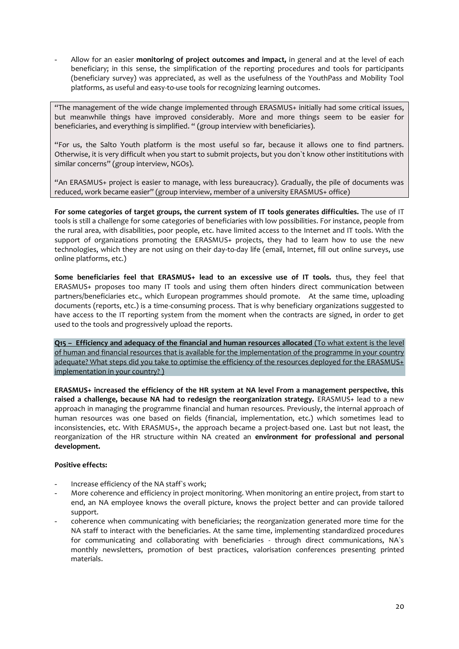- Allow for an easier **monitoring of project outcomes and impact,** in general and at the level of each beneficiary; in this sense, the simplification of the reporting procedures and tools for participants (beneficiary survey) was appreciated, as well as the usefulness of the YouthPass and Mobility Tool platforms, as useful and easy-to-use tools for recognizing learning outcomes.

"The management of the wide change implemented through ERASMUS+ initially had some critical issues, but meanwhile things have improved considerably. More and more things seem to be easier for beneficiaries, and everything is simplified. " (group interview with beneficiaries).

"For us, the Salto Youth platform is the most useful so far, because it allows one to find partners. Otherwise, it is very difficult when you start to submit projects, but you don`t know other instititutions with similar concerns" (group interview, NGOs).

"An ERASMUS+ project is easier to manage, with less bureaucracy). Gradually, the pile of documents was reduced, work became easier" (group interview, member of a university ERASMUS+ office)

**For some categories of target groups, the current system of IT tools generates difficulties.** The use of IT tools is still a challenge for some categories of beneficiaries with low possibilities. For instance, people from the rural area, with disabilities, poor people, etc. have limited access to the Internet and IT tools. With the support of organizations promoting the ERASMUS+ projects, they had to learn how to use the new technologies, which they are not using on their day-to-day life (email, Internet, fill out online surveys, use online platforms, etc.)

**Some beneficiaries feel that ERASMUS+ lead to an excessive use of IT tools.** thus, they feel that ERASMUS+ proposes too many IT tools and using them often hinders direct communication between partners/beneficiaries etc., which European programmes should promote. At the same time, uploading documents (reports, etc.) is a time-consuming process. That is why beneficiary organizations suggested to have access to the IT reporting system from the moment when the contracts are signed, in order to get used to the tools and progressively upload the reports.

**Q15 – Efficiency and adequacy of the financial and human resources allocated** (To what extent is the level of human and financial resources that is available for the implementation of the programme in your country adequate? What steps did you take to optimise the efficiency of the resources deployed for the ERASMUS+ implementation in your country? )

**ERASMUS+ increased the efficiency of the HR system at NA level From a management perspective, this raised a challenge, because NA had to redesign the reorganization strategy.** ERASMUS+ lead to a new approach in managing the programme financial and human resources. Previously, the internal approach of human resources was one based on fields (financial, implementation, etc.) which sometimes lead to inconsistencies, etc. With ERASMUS+, the approach became a project-based one. Last but not least, the reorganization of the HR structure within NA created an **environment for professional and personal development.**

## **Positive effects:**

- Increase efficiency of the NA staff's work;
- More coherence and efficiency in project monitoring. When monitoring an entire project, from start to end, an NA employee knows the overall picture, knows the project better and can provide tailored support.
- coherence when communicating with beneficiaries; the reorganization generated more time for the NA staff to interact with the beneficiaries. At the same time, implementing standardized procedures for communicating and collaborating with beneficiaries - through direct communications, NA`s monthly newsletters, promotion of best practices, valorisation conferences presenting printed materials.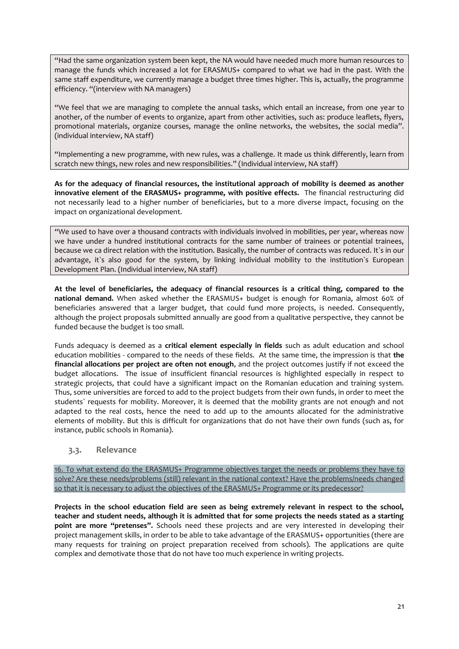"Had the same organization system been kept, the NA would have needed much more human resources to manage the funds which increased a lot for ERASMUS+ compared to what we had in the past. With the same staff expenditure, we currently manage a budget three times higher. This is, actually, the programme efficiency. "(interview with NA managers)

"We feel that we are managing to complete the annual tasks, which entail an increase, from one year to another, of the number of events to organize, apart from other activities, such as: produce leaflets, flyers, promotional materials, organize courses, manage the online networks, the websites, the social media". (individual interview, NA staff)

"Implementing a new programme, with new rules, was a challenge. It made us think differently, learn from scratch new things, new roles and new responsibilities." (Individual interview, NA staff)

**As for the adequacy of financial resources, the institutional approach of mobility is deemed as another innovative element of the ERASMUS+ programme, with positive effects.** The financial restructuring did not necessarily lead to a higher number of beneficiaries, but to a more diverse impact, focusing on the impact on organizational development.

"We used to have over a thousand contracts with individuals involved in mobilities, per year, whereas now we have under a hundred institutional contracts for the same number of trainees or potential trainees, because we ca direct relation with the institution. Basically, the number of contracts was reduced. It`s in our advantage, it's also good for the system, by linking individual mobility to the institution's European Development Plan. (Individual interview, NA staff)

**At the level of beneficiaries, the adequacy of financial resources is a critical thing, compared to the national demand.** When asked whether the ERASMUS+ budget is enough for Romania, almost 60% of beneficiaries answered that a larger budget, that could fund more projects, is needed. Consequently, although the project proposals submitted annually are good from a qualitative perspective, they cannot be funded because the budget is too small.

Funds adequacy is deemed as a **critical element especially in fields** such as adult education and school education mobilities - compared to the needs of these fields. At the same time, the impression is that **the financial allocations per project are often not enough**, and the project outcomes justify if not exceed the budget allocations. The issue of insufficient financial resources is highlighted especially in respect to strategic projects, that could have a significant impact on the Romanian education and training system. Thus, some universities are forced to add to the project budgets from their own funds, in order to meet the students` requests for mobility. Moreover, it is deemed that the mobility grants are not enough and not adapted to the real costs, hence the need to add up to the amounts allocated for the administrative elements of mobility. But this is difficult for organizations that do not have their own funds (such as, for instance, public schools in Romania).

## <span id="page-20-0"></span>**3.3. Relevance**

16. To what extend do the ERASMUS+ Programme objectives target the needs or problems they have to solve? Are these needs/problems (still) relevant in the national context? Have the problems/needs changed so that it is necessary to adjust the objectives of the ERASMUS+ Programme or its predecessor?

**Projects in the school education field are seen as being extremely relevant in respect to the school, teacher and student needs, although it is admitted that for some projects the needs stated as a starting point are more "pretenses".** Schools need these projects and are very interested in developing their project management skills, in order to be able to take advantage of the ERASMUS+ opportunities (there are many requests for training on project preparation received from schools). The applications are quite complex and demotivate those that do not have too much experience in writing projects.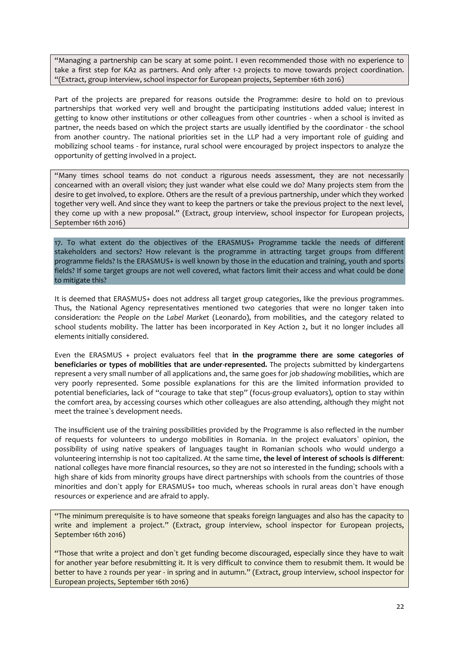"Managing a partnership can be scary at some point. I even recommended those with no experience to take a first step for KA2 as partners. And only after 1-2 projects to move towards project coordination. "(Extract, group interview, school inspector for European projects, September 16th 2016)

Part of the projects are prepared for reasons outside the Programme: desire to hold on to previous partnerships that worked very well and brought the participating institutions added value; interest in getting to know other institutions or other colleagues from other countries - when a school is invited as partner, the needs based on which the project starts are usually identified by the coordinator - the school from another country. The national priorities set in the LLP had a very important role of guiding and mobilizing school teams - for instance, rural school were encouraged by project inspectors to analyze the opportunity of getting involved in a project.

"Many times school teams do not conduct a rigurous needs assessment, they are not necessarily concearned with an overall vision; they just wander what else could we do? Many projects stem from the desire to get involved, to explore. Others are the result of a previous partnership, under which they worked together very well. And since they want to keep the partners or take the previous project to the next level, they come up with a new proposal." (Extract, group interview, school inspector for European projects, September 16th 2016)

17. To what extent do the objectives of the ERASMUS+ Programme tackle the needs of different stakeholders and sectors? How relevant is the programme in attracting target groups from different programme fields? Is the ERASMUS+ is well known by those in the education and training, youth and sports fields? If some target groups are not well covered, what factors limit their access and what could be done to mitigate this?

It is deemed that ERASMUS+ does not address all target group categories, like the previous programmes. Thus, the National Agency representatives mentioned two categories that were no longer taken into consideration: the *People on the Label Market* (Leonardo), from mobilities, and the category related to school students mobility. The latter has been incorporated in Key Action 2, but it no longer includes all elements initially considered.

Even the ERASMUS + project evaluators feel that **in the programme there are some categories of beneficiaries or types of mobilities that are under-represented.** The projects submitted by kindergartens represent a very small number of all applications and, the same goes for *job shadowing* mobilities, which are very poorly represented. Some possible explanations for this are the limited information provided to potential beneficiaries, lack of "courage to take that step" (focus-group evaluators), option to stay within the comfort area, by accessing courses which other colleagues are also attending, although they might not meet the trainee`s development needs.

The insufficient use of the training possibilities provided by the Programme is also reflected in the number of requests for volunteers to undergo mobilities in Romania. In the project evaluators` opinion, the possibility of using native speakers of languages taught in Romanian schools who would undergo a volunteering internship is not too capitalized. At the same time, **the level of interest of schools is different**: national colleges have more financial resources, so they are not so interested in the funding; schools with a high share of kids from minority groups have direct partnerships with schools from the countries of those minorities and don`t apply for ERASMUS+ too much, whereas schools in rural areas don`t have enough resources or experience and are afraid to apply.

"The minimum prerequisite is to have someone that speaks foreign languages and also has the capacity to write and implement a project." (Extract, group interview, school inspector for European projects, September 16th 2016)

"Those that write a project and don`t get funding become discouraged, especially since they have to wait for another year before resubmitting it. It is very difficult to convince them to resubmit them. It would be better to have 2 rounds per year - in spring and in autumn." (Extract, group interview, school inspector for European projects, September 16th 2016)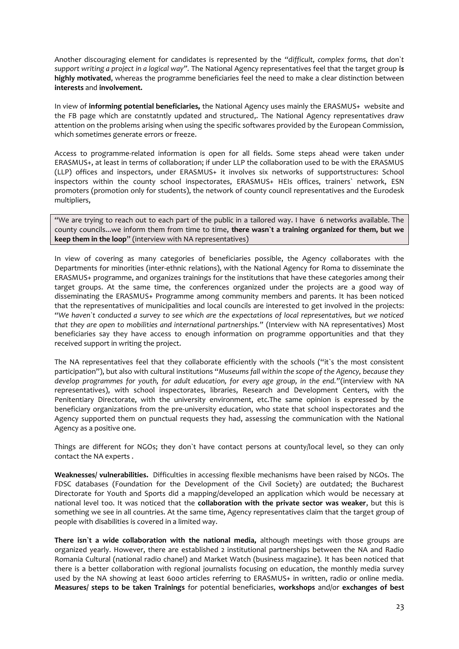Another discouraging element for candidates is represented by the *"difficult, complex forms, that don`t support writing a project in a logical way".* The National Agency representatives feel that the target group **is highly motivated**, whereas the programme beneficiaries feel the need to make a clear distinction between **interests** and **involvement.** 

In view of **informing potential beneficiaries,** the National Agency uses mainly the ERASMUS+ website and the FB page which are constatntly updated and structured,. The National Agency representatives draw attention on the problems arising when using the specific softwares provided by the European Commission, which sometimes generate errors or freeze.

Access to programme-related information is open for all fields. Some steps ahead were taken under ERASMUS+, at least in terms of collaboration; if under LLP the collaboration used to be with the ERASMUS (LLP) offices and inspectors, under ERASMUS+ it involves six networks of supportstructures: School inspectors within the county school inspectorates, ERASMUS+ HEIs offices, trainers` network, ESN promoters (promotion only for students), the network of county council representatives and the Eurodesk multipliers,

"We are trying to reach out to each part of the public in a tailored way. I have 6 networks available. The county councils...we inform them from time to time, **there wasn`t a training organized for them, but we keep them in the loop**" (interview with NA representatives)

In view of covering as many categories of beneficiaries possible, the Agency collaborates with the Departments for minorities (inter-ethnic relations), with the National Agency for Roma to disseminate the ERASMUS+ programme, and organizes trainings for the institutions that have these categories among their target groups. At the same time, the conferences organized under the projects are a good way of disseminating the ERASMUS+ Programme among community members and parents. It has been noticed that the representatives of municipalities and local councils are interested to get involved in the projects: *"We haven`t conducted a survey to see which are the expectations of local representatives, but we noticed that they are open to mobilities and international partnerships."* (Interview with NA representatives) Most beneficiaries say they have access to enough information on programme opportunities and that they received support in writing the project.

The NA representatives feel that they collaborate efficiently with the schools ("it`s the most consistent participation"), but also with cultural institutions "*Museums fall within the scope of the Agency, because they develop programmes for youth, for adult education, for every age group, in the end."*(interview with NA representatives), with school inspectorates, libraries, Research and Development Centers, with the Penitentiary Directorate, with the university environment, etc.The same opinion is expressed by the beneficiary organizations from the pre-university education, who state that school inspectorates and the Agency supported them on punctual requests they had, assessing the communication with the National Agency as a positive one.

Things are different for NGOs; they don`t have contact persons at county/local level, so they can only contact the NA experts .

**Weaknesses/ vulnerabilities.** Difficulties in accessing flexible mechanisms have been raised by NGOs. The FDSC databases (Foundation for the Development of the Civil Society) are outdated; the Bucharest Directorate for Youth and Sports did a mapping/developed an application which would be necessary at national level too. It was noticed that the **collaboration with the private sector was weaker**, but this is something we see in all countries. At the same time, Agency representatives claim that the target group of people with disabilities is covered in a limited way.

**There isn`t a wide collaboration with the national media,** although meetings with those groups are organized yearly. However, there are established 2 institutional partnerships between the NA and Radio Romania Cultural (national radio chanel) and Market Watch (business magazine). It has been noticed that there is a better collaboration with regional journalists focusing on education, the monthly media survey used by the NA showing at least 6000 articles referring to ERASMUS+ in written, radio or online media. **Measures/ steps to be taken Trainings** for potential beneficiaries, **workshops** and/or **exchanges of best**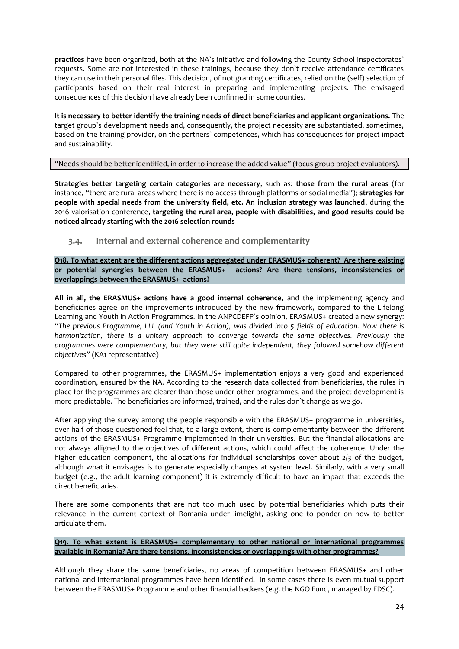**practices** have been organized, both at the NA`s initiative and following the County School Inspectorates` requests. Some are not interested in these trainings, because they don`t receive attendance certificates they can use in their personal files. This decision, of not granting certificates, relied on the (self) selection of participants based on their real interest in preparing and implementing projects. The envisaged consequences of this decision have already been confirmed in some counties.

**It is necessary to better identify the training needs of direct beneficiaries and applicant organizations.** The target group`s development needs and, consequently, the project necessity are substantiated, sometimes, based on the training provider, on the partners` competences, which has consequences for project impact and sustainability.

## "Needs should be better identified, in order to increase the added value" (focus group project evaluators).

**Strategies better targeting certain categories are necessary**, such as: **those from the rural areas** (for instance, "there are rural areas where there is no access through platforms or social media"); **strategies for people with special needs from the university field, etc. An inclusion strategy was launched**, during the 2016 valorisation conference, **targeting the rural area, people with disabilities, and good results could be noticed already starting with the 2016 selection rounds**

## <span id="page-23-0"></span>**3.4. Internal and external coherence and complementarity**

**Q18. To what extent are the different actions aggregated under ERASMUS+ coherent? Are there existing or potential synergies between the ERASMUS+ actions? Are there tensions, inconsistencies or overlappings between the ERASMUS+ actions?**

**All in all, the ERASMUS+ actions have a good internal coherence,** and the implementing agency and beneficiaries agree on the improvements introduced by the new framework, compared to the Lifelong Learning and Youth in Action Programmes. In the ANPCDEFP`s opinion, ERASMUS+ created a new synergy: *"The previous Programme, LLL (and Youth in Action), was divided into 5 fields of education. Now there is harmonization, there is a unitary approach to converge towards the same objectives. Previously the programmes were complementary, but they were still quite independent, they folowed somehow different objectives"* (KA1 representative)

Compared to other programmes, the ERASMUS+ implementation enjoys a very good and experienced coordination, ensured by the NA. According to the research data collected from beneficiaries, the rules in place for the programmes are clearer than those under other programmes, and the project development is more predictable. The beneficiaries are informed, trained, and the rules don`t change as we go.

After applying the survey among the people responsible with the ERASMUS+ programme in universities, over half of those questioned feel that, to a large extent, there is complementarity between the different actions of the ERASMUS+ Programme implemented in their universities. But the financial allocations are not always alligned to the objectives of different actions, which could affect the coherence. Under the higher education component, the allocations for individual scholarships cover about 2/3 of the budget, although what it envisages is to generate especially changes at system level. Similarly, with a very small budget (e.g., the adult learning component) it is extremely difficult to have an impact that exceeds the direct beneficiaries.

There are some components that are not too much used by potential beneficiaries which puts their relevance in the current context of Romania under limelight, asking one to ponder on how to better articulate them.

## **Q19. To what extent is ERASMUS+ complementary to other national or international programmes available in Romania? Are there tensions, inconsistencies or overlappings with other programmes?**

Although they share the same beneficiaries, no areas of competition between ERASMUS+ and other national and international programmes have been identified. In some cases there is even mutual support between the ERASMUS+ Programme and other financial backers (e.g. the NGO Fund, managed by FDSC).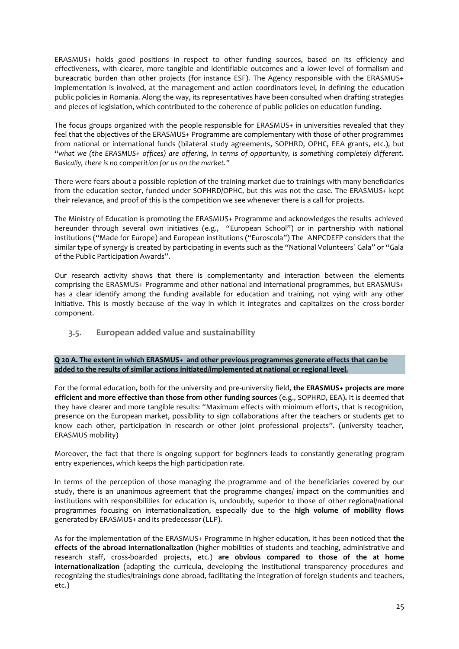ERASMUS+ holds good positions in respect to other funding sources, based on its efficiency and effectiveness, with clearer, more tangible and identifiable outcomes and a lower level of formalism and bureacratic burden than other projects (for instance ESF). The Agency responsible with the ERASMUS+ implementation is involved, at the management and action coordinators level, in defining the education public policies in Romania. Along the way, its representatives have been consulted when drafting strategies and pieces of legislation, which contributed to the coherence of public policies on education funding.

The focus groups organized with the people responsible for ERASMUS+ in universities revealed that they feel that the objectives of the ERASMUS+ Programme are complementary with those of other programmes from national or international funds (bilateral study agreements, SOPHRD, OPHC, EEA grants, etc.), but "*what we (the ERASMUS+ offices) are offering, in terms of opportunity, is something completely different. Basically, there is no competition for us on the market."*

There were fears about a possible repletion of the training market due to trainings with many beneficiaries from the education sector, funded under SOPHRD/OPHC, but this was not the case. The ERASMUS+ kept their relevance, and proof of this is the competition we see whenever there is a call for projects.

The Ministry of Education is promoting the ERASMUS+ Programme and acknowledges the results achieved hereunder through several own initiatives (e.g., "European School") or in partnership with national institutions ("Made for Europe) and European institutions ("Euroscola") The ANPCDEFP considers that the similar type of synergy is created by participating in events such as the "National Volunteers` Gala" or "Gala of the Public Participation Awards".

Our research activity shows that there is complementarity and interaction between the elements comprising the ERASMUS+ Programme and other national and international programmes, but ERASMUS+ has a clear identify among the funding available for education and training, not vying with any other initiative. This is mostly because of the way in which it integrates and capitalizes on the cross-border component.

<span id="page-24-0"></span>**3.5. European added value and sustainability**

**Q 20 A. The extent in which ERASMUS+ and other previous programmes generate effects that can be added to the results of similar actions initiated/implemented at national or regional level.**

For the formal education, both for the university and pre-university field, **the ERASMUS+ projects are more efficient and more effective than those from other funding sources** (e.g., SOPHRD, EEA)**.** It is deemed that they have clearer and more tangible results: "Maximum effects with minimum efforts, that is recognition, presence on the European market, possibility to sign collaborations after the teachers or students get to know each other, participation in research or other joint professional projects". (university teacher, ERASMUS mobility)

Moreover, the fact that there is ongoing support for beginners leads to constantly generating program entry experiences, which keeps the high participation rate.

In terms of the perception of those managing the programme and of the beneficiaries covered by our study, there is an unanimous agreement that the programme changes/ impact on the communities and institutions with responsibilities for education is, undoubtly, superior to those of other regional/national programmes focusing on internationalization, especially due to the **high volume of mobility flows**  generated by ERASMUS+ and its predecessor (LLP).

As for the implementation of the ERASMUS+ Programme in higher education, it has been noticed that **the effects of the abroad internationalization** (higher mobilities of students and teaching, administrative and research staff, cross-boarded projects, etc.) **are obvious compared to those of the at home internationalization** (adapting the curricula, developing the institutional transparency procedures and recognizing the studies/trainings done abroad, facilitating the integration of foreign students and teachers, etc.)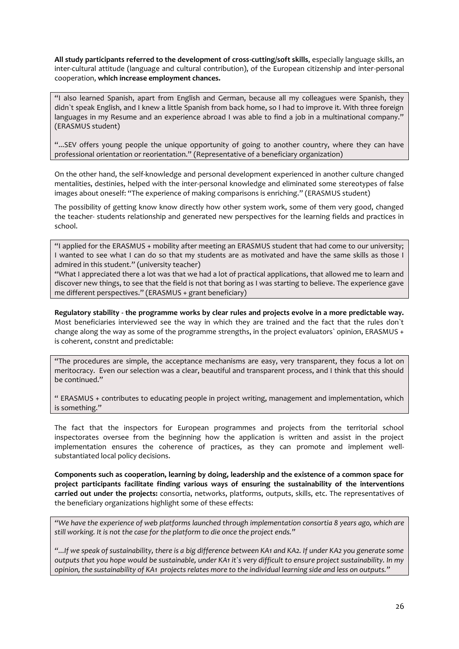**All study participants referred to the development of cross-cutting/soft skills**, especially language skills, an inter-cultural attitude (language and cultural contribution), of the European citizenship and inter-personal cooperation, **which increase employment chances.** 

"I also learned Spanish, apart from English and German, because all my colleagues were Spanish, they didn`t speak English, and I knew a little Spanish from back home, so I had to improve it. With three foreign languages in my Resume and an experience abroad I was able to find a job in a multinational company." (ERASMUS student)

"...SEV offers young people the unique opportunity of going to another country, where they can have professional orientation or reorientation." (Representative of a beneficiary organization)

On the other hand, the self-knowledge and personal development experienced in another culture changed mentalities, destinies, helped with the inter-personal knowledge and eliminated some stereotypes of false images about oneself: "The experience of making comparisons is enriching." (ERASMUS student)

The possibility of getting know know directly how other system work, some of them very good, changed the teacher- students relationship and generated new perspectives for the learning fields and practices in school.

"I applied for the ERASMUS + mobility after meeting an ERASMUS student that had come to our university; I wanted to see what I can do so that my students are as motivated and have the same skills as those I admired in this student." (university teacher)

"What I appreciated there a lot was that we had a lot of practical applications, that allowed me to learn and discover new things, to see that the field is not that boring as I was starting to believe. The experience gave me different perspectives." (ERASMUS + grant beneficiary)

**Regulatory stability - the programme works by clear rules and projects evolve in a more predictable way.** Most beneficiaries interviewed see the way in which they are trained and the fact that the rules don`t change along the way as some of the programme strengths, in the project evaluators` opinion, ERASMUS + is coherent, constnt and predictable:

"The procedures are simple, the acceptance mechanisms are easy, very transparent, they focus a lot on meritocracy. Even our selection was a clear, beautiful and transparent process, and I think that this should be continued."

" ERASMUS + contributes to educating people in project writing, management and implementation, which is something."

The fact that the inspectors for European programmes and projects from the territorial school inspectorates oversee from the beginning how the application is written and assist in the project implementation ensures the coherence of practices, as they can promote and implement wellsubstantiated local policy decisions.

**Components such as cooperation, learning by doing, leadership and the existence of a common space for project participants facilitate finding various ways of ensuring the sustainability of the interventions carried out under the projects:** consortia, networks, platforms, outputs, skills, etc. The representatives of the beneficiary organizations highlight some of these effects:

*"We have the experience of web platforms launched through implementation consortia 8 years ago, which are still working. It is not the case for the platform to die once the project ends."* 

*"...If we speak of sustainability, there is a big difference between KA1 and KA2. If under KA2 you generate some outputs that you hope would be sustainable, under KA1 it`s very difficult to ensure project sustainability. In my opinion, the sustainability of KA1 projects relates more to the individual learning side and less on outputs."*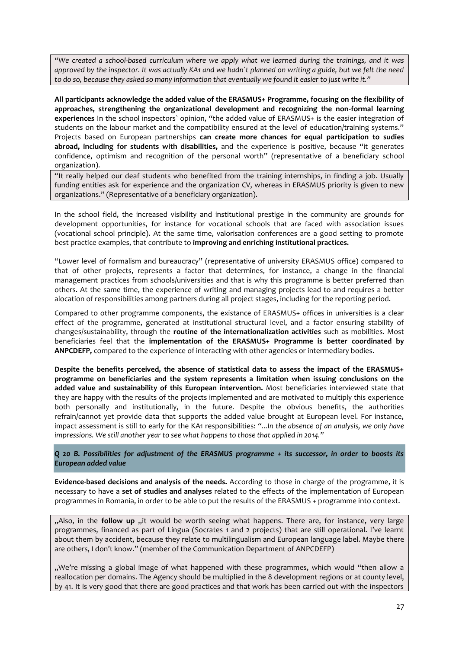*"We created a school-based curriculum where we apply what we learned during the trainings, and it was approved by the inspector. It was actually KA1 and we hadn`t planned on writing a guide, but we felt the need to do so, because they asked so many information that eventually we found it easier to just write it."* 

**All participants acknowledge the added value of the ERASMUS+ Programme, focusing on the flexibility of approaches, strengthening the organizational development and recognizing the non-formal learning experiences** In the school inspectors` opinion, "the added value of ERASMUS+ is the easier integration of students on the labour market and the compatibility ensured at the level of education/training systems." Projects based on European partnerships **can create more chances for equal participation to sudies abroad, including for students with disabilities,** and the experience is positive, because "it generates confidence, optimism and recognition of the personal worth" (representative of a beneficiary school organization).

"It really helped our deaf students who benefited from the training internships, in finding a job. Usually funding entities ask for experience and the organization CV, whereas in ERASMUS priority is given to new organizations." (Representative of a beneficiary organization).

In the school field, the increased visibility and institutional prestige in the community are grounds for development opportunities, for instance for vocational schools that are faced with association issues (vocational school principle). At the same time, valorisation conferences are a good setting to promote best practice examples, that contribute to **improving and enriching institutional practices.**

"Lower level of formalism and bureaucracy" (representative of university ERASMUS office) compared to that of other projects, represents a factor that determines, for instance, a change in the financial management practices from schools/universities and that is why this programme is better preferred than others. At the same time, the experience of writing and managing projects lead to and requires a better alocation of responsibilities among partners during all project stages, including for the reporting period.

Compared to other programme components, the existance of ERASMUS+ offices in universities is a clear effect of the programme, generated at institutional structural level, and a factor ensuring stability of changes/sustainability, through the **routine of the internationalization activities** such as mobilities. Most beneficiaries feel that the **implementation of the ERASMUS+ Programme is better coordinated by ANPCDEFP,** compared to the experience of interacting with other agencies or intermediary bodies.

**Despite the benefits perceived, the absence of statistical data to assess the impact of the ERASMUS+ programme on beneficiaries and the system represents a limitation when issuing conclusions on the added value and sustainability of this European intervention.** Most beneficiaries interviewed state that they are happy with the results of the projects implemented and are motivated to multiply this experience both personally and institutionally, in the future. Despite the obvious benefits, the authorities refrain/cannot yet provide data that supports the added value brought at European level. For instance, impact assessment is still to early for the KA1 responsibilities: *"...In the absence of an analysis, we only have impressions. We still another year to see what happens to those that applied in 2014."* 

*Q 20 B. Possibilities for adjustment of the ERASMUS programme + its successor, in order to boosts its European added value* 

**Evidence-based decisions and analysis of the needs.** According to those in charge of the programme, it is necessary to have a **set of studies and analyses** related to the effects of the implementation of European programmes in Romania, in order to be able to put the results of the ERASMUS + programme into context.

"Also, in the **follow up** "it would be worth seeing what happens. There are, for instance, very large programmes, financed as part of Lingua (Socrates 1 and 2 projects) that are still operational. I've learnt about them by accident, because they relate to multilingualism and European language label. Maybe there are others, I don't know." (member of the Communication Department of ANPCDEFP)

"We're missing a global image of what happened with these programmes, which would "then allow a reallocation per domains. The Agency should be multiplied in the 8 development regions or at county level, by 41. It is very good that there are good practices and that work has been carried out with the inspectors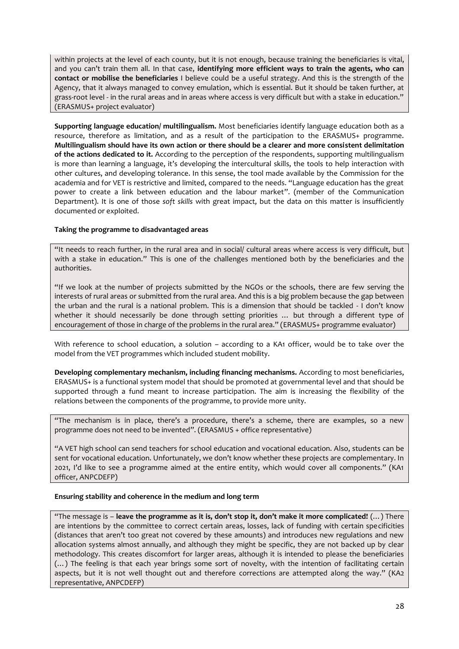within projects at the level of each county, but it is not enough, because training the beneficiaries is vital, and you can't train them all. In that case, **identifying more efficient ways to train the agents, who can contact or mobilise the beneficiaries** I believe could be a useful strategy. And this is the strength of the Agency, that it always managed to convey emulation, which is essential. But it should be taken further, at grass-root level - in the rural areas and in areas where access is very difficult but with a stake in education." (ERASMUS+ project evaluator)

**Supporting language education/ multilingualism.** Most beneficiaries identify language education both as a resource, therefore as limitation, and as a result of the participation to the ERASMUS+ programme. **Multilingualism should have its own action or there should be a clearer and more consistent delimitation of the actions dedicated to it.** According to the perception of the respondents, supporting multilingualism is more than learning a language, it's developing the intercultural skills, the tools to help interaction with other cultures, and developing tolerance. In this sense, the tool made available by the Commission for the academia and for VET is restrictive and limited, compared to the needs. "Language education has the great power to create a link between education and the labour market". (member of the Communication Department). It is one of those *soft skills* with great impact, but the data on this matter is insufficiently documented or exploited.

## **Taking the programme to disadvantaged areas**

"It needs to reach further, in the rural area and in social/ cultural areas where access is very difficult, but with a stake in education." This is one of the challenges mentioned both by the beneficiaries and the authorities.

"If we look at the number of projects submitted by the NGOs or the schools, there are few serving the interests of rural areas or submitted from the rural area. And this is a big problem because the gap between the urban and the rural is a national problem. This is a dimension that should be tackled - I don't know whether it should necessarily be done through setting priorities … but through a different type of encouragement of those in charge of the problems in the rural area." (ERASMUS+ programme evaluator)

With reference to school education, a solution – according to a KA1 officer, would be to take over the model from the VET programmes which included student mobility.

**Developing complementary mechanism, including financing mechanisms.** According to most beneficiaries, ERASMUS+ is a functional system model that should be promoted at governmental level and that should be supported through a fund meant to increase participation. The aim is increasing the flexibility of the relations between the components of the programme, to provide more unity.

"The mechanism is in place, there's a procedure, there's a scheme, there are examples, so a new programme does not need to be invented". (ERASMUS + office representative)

"A VET high school can send teachers for school education and vocational education. Also, students can be sent for vocational education. Unfortunately, we don't know whether these projects are complementary. In 2021, I'd like to see a programme aimed at the entire entity, which would cover all components." (KA1 officer, ANPCDEFP)

#### **Ensuring stability and coherence in the medium and long term**

"The message is – **leave the programme as it is, don't stop it, don't make it more complicated!** (…) There are intentions by the committee to correct certain areas, losses, lack of funding with certain specificities (distances that aren't too great not covered by these amounts) and introduces new regulations and new allocation systems almost annually, and although they might be specific, they are not backed up by clear methodology. This creates discomfort for larger areas, although it is intended to please the beneficiaries (…) The feeling is that each year brings some sort of novelty, with the intention of facilitating certain aspects, but it is not well thought out and therefore corrections are attempted along the way." (KA2 representative, ANPCDEFP)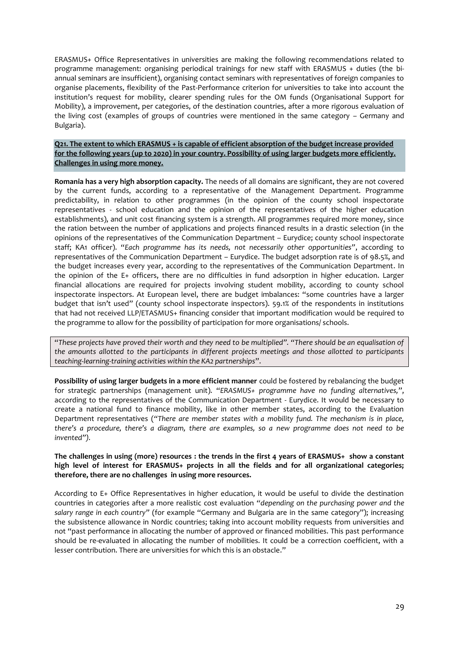ERASMUS+ Office Representatives in universities are making the following recommendations related to programme management: organising periodical trainings for new staff with ERASMUS + duties (the biannual seminars are insufficient), organising contact seminars with representatives of foreign companies to organise placements, flexibility of the Past-Performance criterion for universities to take into account the institution's request for mobility, clearer spending rules for the OM funds (Organisational Support for Mobility), a improvement, per categories, of the destination countries, after a more rigorous evaluation of the living cost (examples of groups of countries were mentioned in the same category – Germany and Bulgaria).

**Q21. The extent to which ERASMUS + is capable of efficient absorption of the budget increase provided for the following years (up to 2020) in your country. Possibility of using larger budgets more efficiently. Challenges in using more money.**

**Romania has a very high absorption capacity.** The needs of all domains are significant, they are not covered by the current funds, according to a representative of the Management Department. Programme predictability, in relation to other programmes (in the opinion of the county school inspectorate representatives - school education and the opinion of the representatives of the higher education establishments), and unit cost financing system is a strength. All programmes required more money, since the ration between the number of applications and projects financed results in a drastic selection (in the opinions of the representatives of the Communication Department – Eurydice; county school inspectorate staff; KA1 officer). "*Each programme has its needs, not necessarily other opportunities"*, according to representatives of the Communication Department – Eurydice. The budget adsorption rate is of 98.5%, and the budget increases every year, according to the representatives of the Communication Department. In the opinion of the E+ officers, there are no difficulties in fund adsorption in higher education. Larger financial allocations are required for projects involving student mobility, according to county school inspectorate inspectors. At European level, there are budget imbalances: "some countries have a larger budget that isn't used" (county school inspectorate inspectors). 59.1% of the respondents in institutions that had not received LLP/ETASMUS+ financing consider that important modification would be required to the programme to allow for the possibility of participation for more organisations/ schools.

"*These projects have proved their worth and they need to be multiplied". "There should be an equalisation of the amounts allotted to the participants in different projects meetings and those allotted to participants teaching-learning-training activities within the KA2 partnerships*".

**Possibility of using larger budgets in a more efficient manner** could be fostered by rebalancing the budget for strategic partnerships (management unit). "*ERASMUS+ programme have no funding alternatives,*", according to the representatives of the Communication Department - Eurydice. It would be necessary to create a national fund to finance mobility, like in other member states, according to the Evaluation Department representatives (*"There are member states with a mobility fund. The mechanism is in place, there's a procedure, there's a diagram, there are examples, so a new programme does not need to be invented").* 

## **The challenges in using (more) resources : the trends in the first 4 years of ERASMUS+ show a constant high level of interest for ERASMUS+ projects in all the fields and for all organizational categories; therefore, there are no challenges in using more resources.**

According to E+ Office Representatives in higher education, it would be useful to divide the destination countries in categories after a more realistic cost evaluation *"depending on the purchasing power and the salary range in each country"* (for example "Germany and Bulgaria are in the same category"); increasing the subsistence allowance in Nordic countries; taking into account mobility requests from universities and not "past performance in allocating the number of approved or financed mobilities. This past performance should be re-evaluated in allocating the number of mobilities. It could be a correction coefficient, with a lesser contribution. There are universities for which this is an obstacle."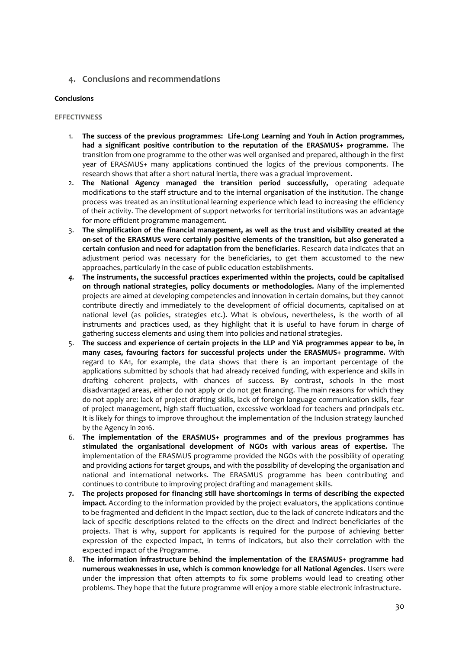## <span id="page-29-0"></span>**4. Conclusions and recommendations**

## **Conclusions**

#### **EFFECTIVNESS**

- 1. **The success of the previous programmes: Life-Long Learning and Youh in Action programmes, had a significant positive contribution to the reputation of the ERASMUS+ programme.** The transition from one programme to the other was well organised and prepared, although in the first year of ERASMUS+ many applications continued the logics of the previous components. The research shows that after a short natural inertia, there was a gradual improvement.
- 2. **The National Agency managed the transition period successfully,** operating adequate modifications to the staff structure and to the internal organisation of the institution. The change process was treated as an institutional learning experience which lead to increasing the efficiency of their activity. The development of support networks for territorial institutions was an advantage for more efficient programme management.
- 3. **The simplification of the financial management, as well as the trust and visibility created at the on-set of the ERASMUS were certainly positive elements of the transition, but also generated a certain confusion and need for adaptation from the beneficiaries**. Research data indicates that an adjustment period was necessary for the beneficiaries, to get them accustomed to the new approaches, particularly in the case of public education establishments.
- *4.* **The instruments, the successful practices experimented within the projects, could be capitalised on through national strategies, policy documents or methodologies.** Many of the implemented projects are aimed at developing competencies and innovation in certain domains, but they cannot contribute directly and immediately to the development of official documents, capitalised on at national level (as policies, strategies etc.). What is obvious, nevertheless, is the worth of all instruments and practices used, as they highlight that it is useful to have forum in charge of gathering success elements and using them into policies and national strategies.
- 5. **The success and experience of certain projects in the LLP and YiA programmes appear to be, in many cases, favouring factors for successful projects under the ERASMUS+ programme.** With regard to KA1, for example, the data shows that there is an important percentage of the applications submitted by schools that had already received funding, with experience and skills in drafting coherent projects, with chances of success. By contrast, schools in the most disadvantaged areas, either do not apply or do not get financing. The main reasons for which they do not apply are: lack of project drafting skills, lack of foreign language communication skills, fear of project management, high staff fluctuation, excessive workload for teachers and principals etc. It is likely for things to improve throughout the implementation of the Inclusion strategy launched by the Agency in 2016.
- 6. **The implementation of the ERASMUS+ programmes and of the previous programmes has stimulated the organisational development of NGOs with various areas of expertise.** The implementation of the ERASMUS programme provided the NGOs with the possibility of operating and providing actions for target groups, and with the possibility of developing the organisation and national and international networks. The ERASMUS programme has been contributing and continues to contribute to improving project drafting and management skills.
- **7. The projects proposed for financing still have shortcomings in terms of describing the expected impact.** According to the information provided by the project evaluators, the applications continue to be fragmented and deficient in the impact section, due to the lack of concrete indicators and the lack of specific descriptions related to the effects on the direct and indirect beneficiaries of the projects. That is why, support for applicants is required for the purpose of achieving better expression of the expected impact, in terms of indicators, but also their correlation with the expected impact of the Programme.
- 8. **The information infrastructure behind the implementation of the ERASMUS+ programme had numerous weaknesses in use, which is common knowledge for all National Agencies**. Users were under the impression that often attempts to fix some problems would lead to creating other problems. They hope that the future programme will enjoy a more stable electronic infrastructure.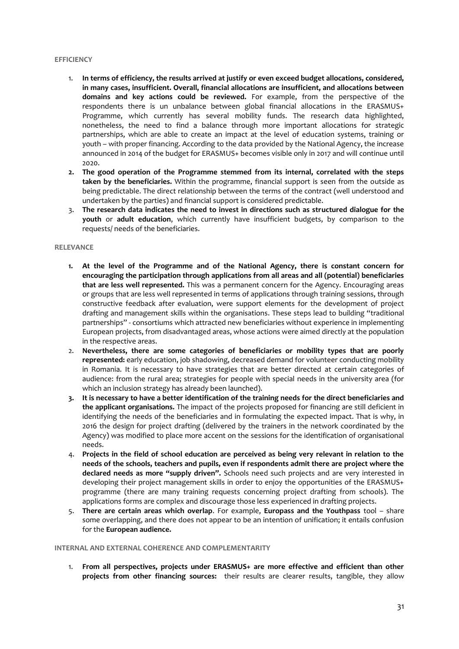#### **EFFICIENCY**

- 1. **In terms of efficiency, the results arrived at justify or even exceed budget allocations, considered, in many cases, insufficient. Overall, financial allocations are insufficient, and allocations between domains and key actions could be reviewed.** For example, from the perspective of the respondents there is un unbalance between global financial allocations in the ERASMUS+ Programme, which currently has several mobility funds. The research data highlighted, nonetheless, the need to find a balance through more important allocations for strategic partnerships, which are able to create an impact at the level of education systems, training or youth – with proper financing. According to the data provided by the National Agency, the increase announced in 2014 of the budget for ERASMUS+ becomes visible only in 2017 and will continue until 2020.
- **2. The good operation of the Programme stemmed from its internal, correlated with the steps taken by the beneficiaries.** Within the programme, financial support is seen from the outside as being predictable. The direct relationship between the terms of the contract (well understood and undertaken by the parties) and financial support is considered predictable.
- 3. **The research data indicates the need to invest in directions such as structured dialogue for the youth** or **adult education**, which currently have insufficient budgets, by comparison to the requests/ needs of the beneficiaries.

#### **RELEVANCE**

- **1. At the level of the Programme and of the National Agency, there is constant concern for encouraging the participation through applications from all areas and all (potential) beneficiaries that are less well represented.** This was a permanent concern for the Agency. Encouraging areas or groups that are less well represented in terms of applications through training sessions, through constructive feedback after evaluation, were support elements for the development of project drafting and management skills within the organisations. These steps lead to building "traditional partnerships" - consortiums which attracted new beneficiaries without experience in implementing European projects, from disadvantaged areas, whose actions were aimed directly at the population in the respective areas.
- 2. **Nevertheless, there are some categories of beneficiaries or mobility types that are poorly represented:** early education, job shadowing, decreased demand for volunteer conducting mobility in Romania. It is necessary to have strategies that are better directed at certain categories of audience: from the rural area; strategies for people with special needs in the university area (for which an inclusion strategy has already been launched).
- **3. It is necessary to have a better identification of the training needs for the direct beneficiaries and the applicant organisations.** The impact of the projects proposed for financing are still deficient in identifying the needs of the beneficiaries and in formulating the expected impact. That is why, in 2016 the design for project drafting (delivered by the trainers in the network coordinated by the Agency) was modified to place more accent on the sessions for the identification of organisational needs.
- 4. **Projects in the field of school education are perceived as being very relevant in relation to the needs of the schools, teachers and pupils, even if respondents admit there are project where the declared needs as more "supply driven".** Schools need such projects and are very interested in developing their project management skills in order to enjoy the opportunities of the ERASMUS+ programme (there are many training requests concerning project drafting from schools). The applications forms are complex and discourage those less experienced in drafting projects.
- 5. **There are certain areas which overlap**. For example, **Europass and the Youthpass** tool share some overlapping, and there does not appear to be an intention of unification; it entails confusion for the **European audience.**

## **INTERNAL AND EXTERNAL COHERENCE AND COMPLEMENTARITY**

1. **From all perspectives, projects under ERASMUS+ are more effective and efficient than other projects from other financing sources:** their results are clearer results, tangible, they allow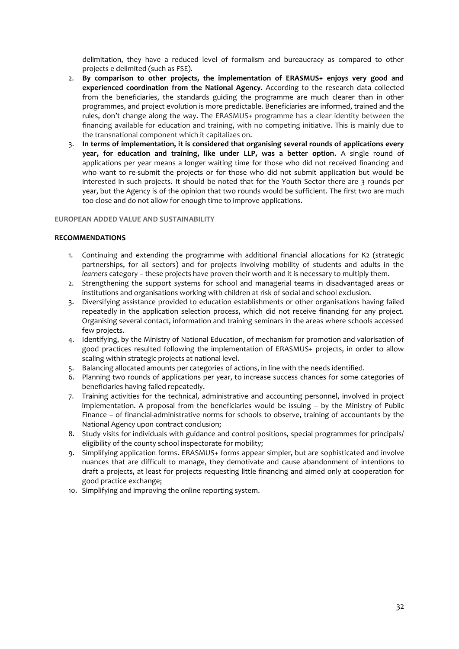delimitation, they have a reduced level of formalism and bureaucracy as compared to other projects e delimited (such as FSE).

- 2. **By comparison to other projects, the implementation of ERASMUS+ enjoys very good and experienced coordination from the National Agency.** According to the research data collected from the beneficiaries, the standards guiding the programme are much clearer than in other programmes, and project evolution is more predictable. Beneficiaries are informed, trained and the rules, don't change along the way. The ERASMUS+ programme has a clear identity between the financing available for education and training, with no competing initiative. This is mainly due to the transnational component which it capitalizes on.
- 3. **In terms of implementation, it is considered that organising several rounds of applications every year, for education and training, like under LLP, was a better option**. A single round of applications per year means a longer waiting time for those who did not received financing and who want to re-submit the projects or for those who did not submit application but would be interested in such projects. It should be noted that for the Youth Sector there are 3 rounds per year, but the Agency is of the opinion that two rounds would be sufficient. The first two are much too close and do not allow for enough time to improve applications.

## **EUROPEAN ADDED VALUE AND SUSTAINABILITY**

#### **RECOMMENDATIONS**

- 1. Continuing and extending the programme with additional financial allocations for K2 (strategic partnerships, for all sectors) and for projects involving mobility of students and adults in the *learners* category – these projects have proven their worth and it is necessary to multiply them.
- 2. Strengthening the support systems for school and managerial teams in disadvantaged areas or institutions and organisations working with children at risk of social and school exclusion.
- 3. Diversifying assistance provided to education establishments or other organisations having failed repeatedly in the application selection process, which did not receive financing for any project. Organising several contact, information and training seminars in the areas where schools accessed few projects.
- 4. Identifying, by the Ministry of National Education, of mechanism for promotion and valorisation of good practices resulted following the implementation of ERASMUS+ projects, in order to allow scaling within strategic projects at national level.
- 5. Balancing allocated amounts per categories of actions, in line with the needs identified.
- 6. Planning two rounds of applications per year, to increase success chances for some categories of beneficiaries having failed repeatedly.
- 7. Training activities for the technical, administrative and accounting personnel, involved in project implementation. A proposal from the beneficiaries would be issuing – by the Ministry of Public Finance – of financial-administrative norms for schools to observe, training of accountants by the National Agency upon contract conclusion;
- 8. Study visits for individuals with guidance and control positions, special programmes for principals/ eligibility of the county school inspectorate for mobility;
- 9. Simplifying application forms. ERASMUS+ forms appear simpler, but are sophisticated and involve nuances that are difficult to manage, they demotivate and cause abandonment of intentions to draft a projects, at least for projects requesting little financing and aimed only at cooperation for good practice exchange;
- 10. Simplifying and improving the online reporting system.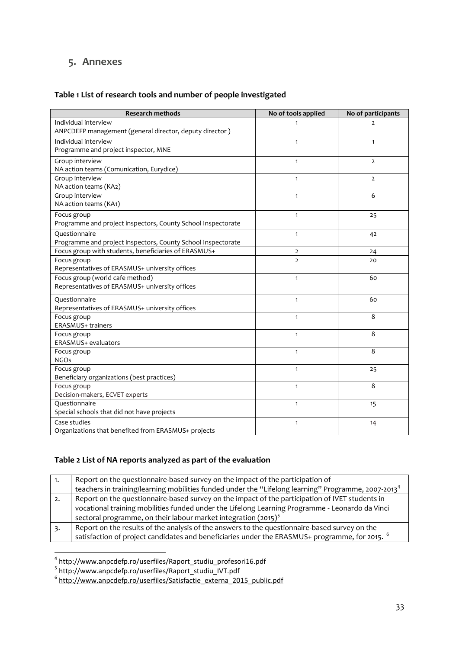## <span id="page-32-0"></span>**5. Annexes**

## **Table 1 List of research tools and number of people investigated**

| <b>Research methods</b>                                       | No of tools applied | No of participants |
|---------------------------------------------------------------|---------------------|--------------------|
| Individual interview                                          | $\mathbf{1}$        | $\overline{2}$     |
| ANPCDEFP management (general director, deputy director)       |                     |                    |
| Individual interview                                          | $\mathbf{1}$        | $\mathbf{1}$       |
| Programme and project inspector, MNE                          |                     |                    |
| Group interview                                               | $\mathbf{1}$        | $\overline{2}$     |
| NA action teams (Comunication, Eurydice)                      |                     |                    |
| Group interview                                               | $\mathbf{1}$        | $\overline{2}$     |
| NA action teams (KA2)                                         |                     |                    |
| Group interview                                               | $\mathbf{1}$        | 6                  |
| NA action teams (KA1)                                         |                     |                    |
| Focus group                                                   | $\mathbf{1}$        | 25                 |
| Programme and project inspectors, County School Inspectorate  |                     |                    |
| Questionnaire                                                 | $\mathbf{1}$        | 42                 |
| Programme and project inspectors, County School Inspectorate  |                     |                    |
| Focus group with students, beneficiaries of ERASMUS+          | $\overline{2}$      | 24                 |
| Focus group<br>Representatives of ERASMUS+ university offices | $\overline{2}$      | 20                 |
| Focus group (world cafe method)                               | $\mathbf{1}$        | 60                 |
| Representatives of ERASMUS+ university offices                |                     |                    |
|                                                               |                     |                    |
| Questionnaire                                                 | $\mathbf{1}$        | 60                 |
| Representatives of ERASMUS+ university offices                |                     |                    |
| Focus group<br>ERASMUS+ trainers                              | $\mathbf{1}$        | 8                  |
| Focus group                                                   | $\mathbf{1}$        | 8                  |
| ERASMUS+ evaluators                                           |                     |                    |
| Focus group                                                   | $\mathbf{1}$        | 8                  |
| <b>NGOs</b>                                                   |                     |                    |
| Focus group                                                   | $\mathbf{1}$        | 25                 |
| Beneficiary organizations (best practices)                    |                     |                    |
| Focus group                                                   | $\mathbf{1}$        | 8                  |
| Decision-makers, ECVET experts                                |                     |                    |
| Questionnaire                                                 | $\mathbf{1}$        | 15                 |
| Special schools that did not have projects                    |                     |                    |
| Case studies                                                  | $\mathbf{1}$        | 14                 |
| Organizations that benefited from ERASMUS+ projects           |                     |                    |

## **Table 2 List of NA reports analyzed as part of the evaluation**

| Report on the questionnaire-based survey on the impact of the participation of                                  |
|-----------------------------------------------------------------------------------------------------------------|
| teachers in training/learning mobilities funded under the "Lifelong learning" Programme, 2007-2013 <sup>4</sup> |
| Report on the questionnaire-based survey on the impact of the participation of IVET students in                 |
| vocational training mobilities funded under the Lifelong Learning Programme - Leonardo da Vinci                 |
| sectoral programme, on their labour market integration (2015) <sup>5</sup>                                      |
| Report on the results of the analysis of the answers to the questionnaire-based survey on the                   |
| satisfaction of project candidates and beneficiaries under the ERASMUS+ programme, for 2015.                    |
|                                                                                                                 |

<sup>–&</sup>lt;br><sup>4</sup> http://www.anpcdefp.ro/userfiles/Raport\_studiu\_profesori16.pdf<br><sup>5</sup> http://www.anpcdefp.ro/userfiles/Raport\_studiu\_IVT.pdf<br><sup>6</sup> <u>[http://www.anpcdefp.ro/userfiles/Satisfactie\\_externa\\_2015\\_public.pdf](http://www.anpcdefp.ro/userfiles/Satisfactie_externa_2015_public.pdf)</u>